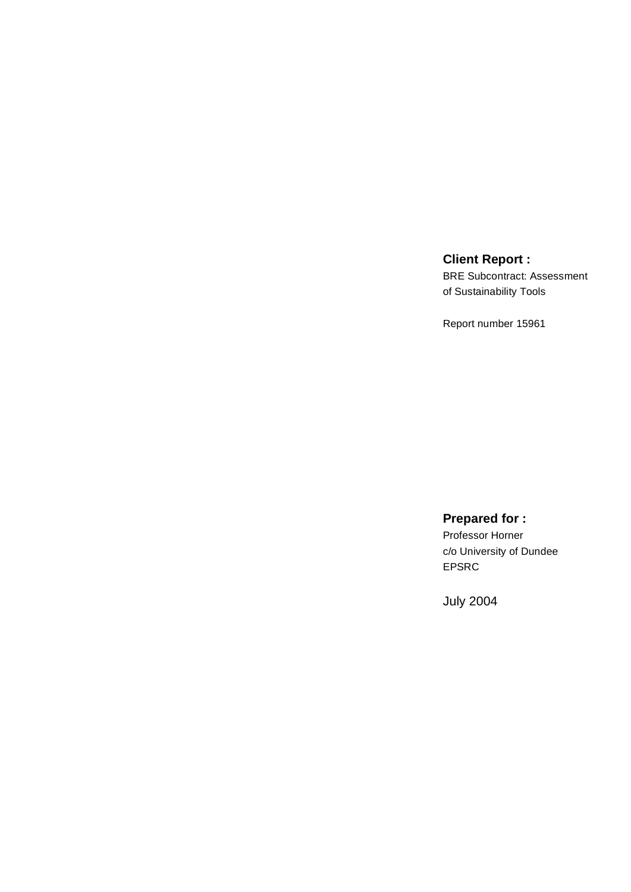## **Client Report :**

BRE Subcontract: Assessment of Sustainability Tools

Report number 15961

**Prepared for :** 

Professor Horner c/o University of Dundee EPSRC

July 2004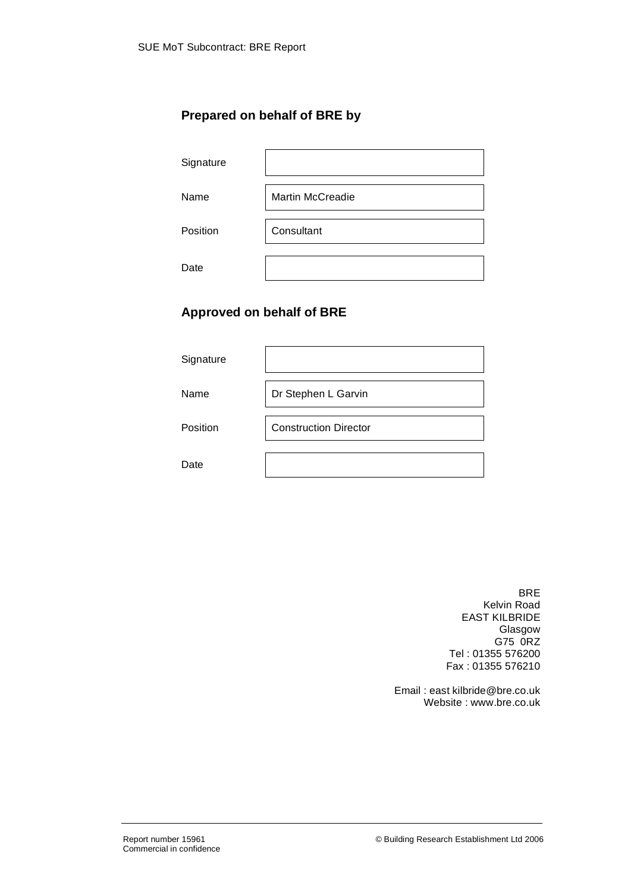## **Prepared on behalf of BRE by**

| Signature |                  |
|-----------|------------------|
| Name      | Martin McCreadie |
| Position  | Consultant       |
| Date      |                  |

## **Approved on behalf of BRE**

| Signature |                              |
|-----------|------------------------------|
| Name      | Dr Stephen L Garvin          |
| Position  | <b>Construction Director</b> |
| Date      |                              |

BRE Kelvin Road EAST KILBRIDE Glasgow G75 0RZ Tel : 01355 576200 Fax : 01355 576210

Email : east kilbride@bre.co.uk Website : www.bre.co.uk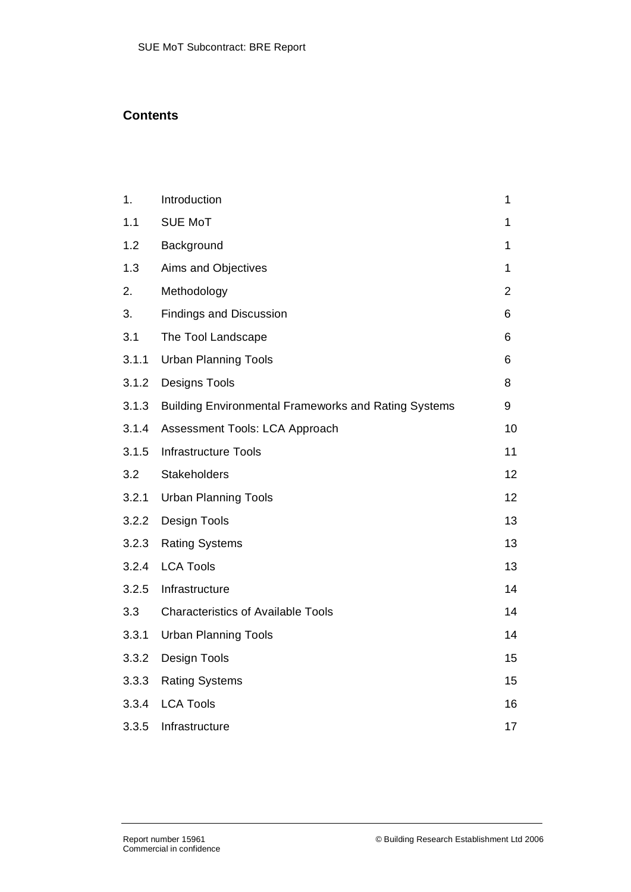## **Contents**

| 1.    | Introduction                                                | 1              |
|-------|-------------------------------------------------------------|----------------|
| 1.1   | <b>SUE MoT</b>                                              | 1              |
| 1.2   | Background                                                  | 1              |
| 1.3   | Aims and Objectives                                         | 1              |
| 2.    | Methodology                                                 | $\overline{2}$ |
| 3.    | <b>Findings and Discussion</b>                              | 6              |
| 3.1   | The Tool Landscape                                          | 6              |
| 3.1.1 | <b>Urban Planning Tools</b>                                 | 6              |
| 3.1.2 | <b>Designs Tools</b>                                        | 8              |
| 3.1.3 | <b>Building Environmental Frameworks and Rating Systems</b> | 9              |
| 3.1.4 | Assessment Tools: LCA Approach                              | 10             |
| 3.1.5 | <b>Infrastructure Tools</b>                                 | 11             |
| 3.2   | <b>Stakeholders</b>                                         | 12             |
| 3.2.1 | <b>Urban Planning Tools</b>                                 | 12             |
| 3.2.2 | Design Tools                                                | 13             |
| 3.2.3 | <b>Rating Systems</b>                                       | 13             |
| 3.2.4 | <b>LCA Tools</b>                                            | 13             |
| 3.2.5 | Infrastructure                                              | 14             |
| 3.3   | <b>Characteristics of Available Tools</b>                   | 14             |
| 3.3.1 | <b>Urban Planning Tools</b>                                 | 14             |
| 3.3.2 | Design Tools                                                | 15             |
| 3.3.3 | <b>Rating Systems</b>                                       | 15             |
| 3.3.4 | <b>LCA Tools</b>                                            | 16             |
| 3.3.5 | Infrastructure                                              | 17             |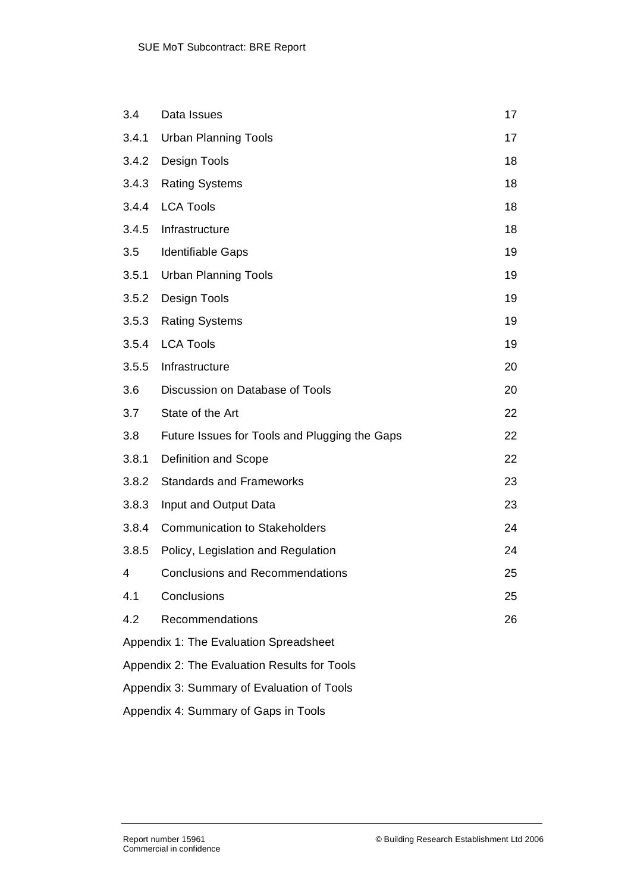| 3.4   | Data Issues                                   | 17 |
|-------|-----------------------------------------------|----|
| 3.4.1 | <b>Urban Planning Tools</b>                   | 17 |
| 3.4.2 | Design Tools                                  | 18 |
| 3.4.3 | <b>Rating Systems</b>                         | 18 |
| 3.4.4 | <b>LCA Tools</b>                              | 18 |
| 3.4.5 | Infrastructure                                | 18 |
| 3.5   | Identifiable Gaps                             | 19 |
| 3.5.1 | <b>Urban Planning Tools</b>                   | 19 |
| 3.5.2 | Design Tools                                  | 19 |
| 3.5.3 | <b>Rating Systems</b>                         | 19 |
| 3.5.4 | <b>LCA Tools</b>                              | 19 |
| 3.5.5 | Infrastructure                                | 20 |
| 3.6   | Discussion on Database of Tools               | 20 |
| 3.7   | State of the Art                              | 22 |
| 3.8   | Future Issues for Tools and Plugging the Gaps | 22 |
| 3.8.1 | <b>Definition and Scope</b>                   | 22 |
| 3.8.2 | <b>Standards and Frameworks</b>               | 23 |
| 3.8.3 | Input and Output Data                         | 23 |
| 3.8.4 | <b>Communication to Stakeholders</b>          | 24 |
| 3.8.5 | Policy, Legislation and Regulation            | 24 |
| 4     | <b>Conclusions and Recommendations</b>        | 25 |
| 4.1   | Conclusions                                   | 25 |
| 4.2   | Recommendations                               | 26 |
|       | Appendix 1: The Evaluation Spreadsheet        |    |
|       | Appendix 2: The Evaluation Results for Tools  |    |
|       | Appendix 3: Summary of Evaluation of Tools    |    |
|       | Appendix 4: Summary of Gaps in Tools          |    |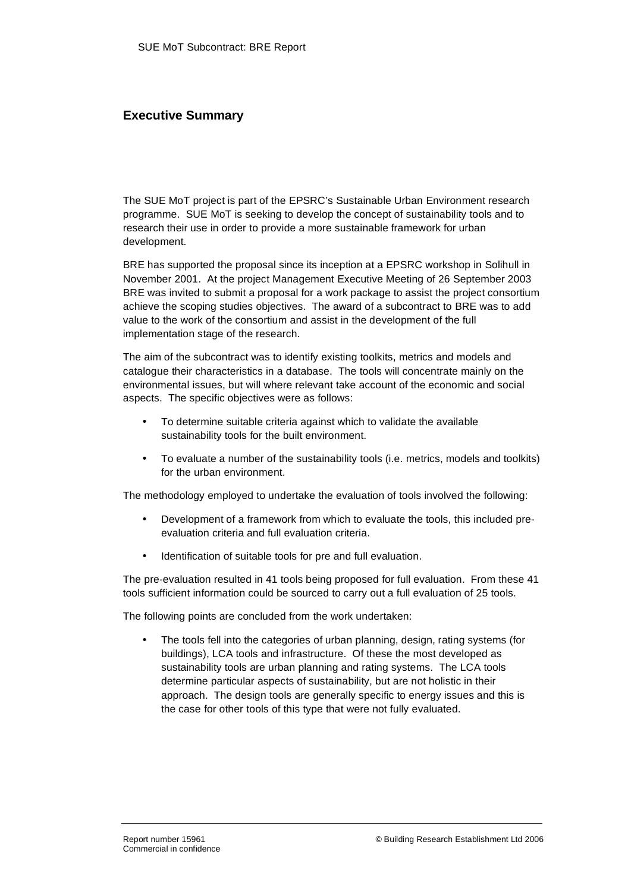## **Executive Summary**

The SUE MoT project is part of the EPSRC's Sustainable Urban Environment research programme. SUE MoT is seeking to develop the concept of sustainability tools and to research their use in order to provide a more sustainable framework for urban development.

BRE has supported the proposal since its inception at a EPSRC workshop in Solihull in November 2001. At the project Management Executive Meeting of 26 September 2003 BRE was invited to submit a proposal for a work package to assist the project consortium achieve the scoping studies objectives. The award of a subcontract to BRE was to add value to the work of the consortium and assist in the development of the full implementation stage of the research.

The aim of the subcontract was to identify existing toolkits, metrics and models and catalogue their characteristics in a database. The tools will concentrate mainly on the environmental issues, but will where relevant take account of the economic and social aspects. The specific objectives were as follows:

- To determine suitable criteria against which to validate the available sustainability tools for the built environment.
- To evaluate a number of the sustainability tools (i.e. metrics, models and toolkits) for the urban environment.

The methodology employed to undertake the evaluation of tools involved the following:

- Development of a framework from which to evaluate the tools, this included preevaluation criteria and full evaluation criteria.
- Identification of suitable tools for pre and full evaluation.

The pre-evaluation resulted in 41 tools being proposed for full evaluation. From these 41 tools sufficient information could be sourced to carry out a full evaluation of 25 tools.

The following points are concluded from the work undertaken:

The tools fell into the categories of urban planning, design, rating systems (for buildings), LCA tools and infrastructure. Of these the most developed as sustainability tools are urban planning and rating systems. The LCA tools determine particular aspects of sustainability, but are not holistic in their approach. The design tools are generally specific to energy issues and this is the case for other tools of this type that were not fully evaluated.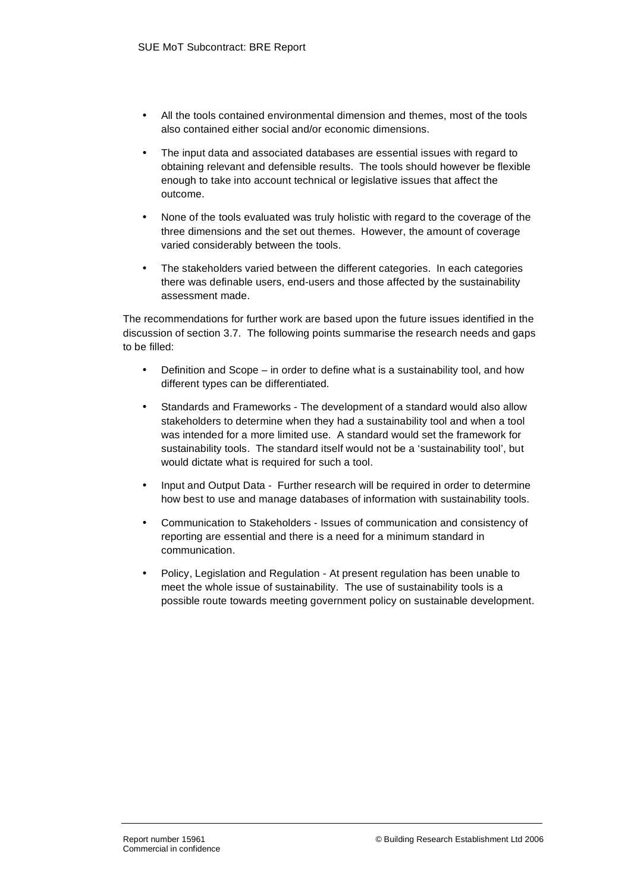- All the tools contained environmental dimension and themes, most of the tools also contained either social and/or economic dimensions.
- The input data and associated databases are essential issues with regard to obtaining relevant and defensible results. The tools should however be flexible enough to take into account technical or legislative issues that affect the outcome.
- None of the tools evaluated was truly holistic with regard to the coverage of the three dimensions and the set out themes. However, the amount of coverage varied considerably between the tools.
- The stakeholders varied between the different categories. In each categories there was definable users, end-users and those affected by the sustainability assessment made.

The recommendations for further work are based upon the future issues identified in the discussion of section 3.7. The following points summarise the research needs and gaps to be filled:

- Definition and Scope in order to define what is a sustainability tool, and how different types can be differentiated.
- Standards and Frameworks The development of a standard would also allow stakeholders to determine when they had a sustainability tool and when a tool was intended for a more limited use. A standard would set the framework for sustainability tools. The standard itself would not be a 'sustainability tool', but would dictate what is required for such a tool.
- Input and Output Data Further research will be required in order to determine how best to use and manage databases of information with sustainability tools.
- Communication to Stakeholders Issues of communication and consistency of reporting are essential and there is a need for a minimum standard in communication.
- Policy, Legislation and Regulation At present regulation has been unable to meet the whole issue of sustainability. The use of sustainability tools is a possible route towards meeting government policy on sustainable development.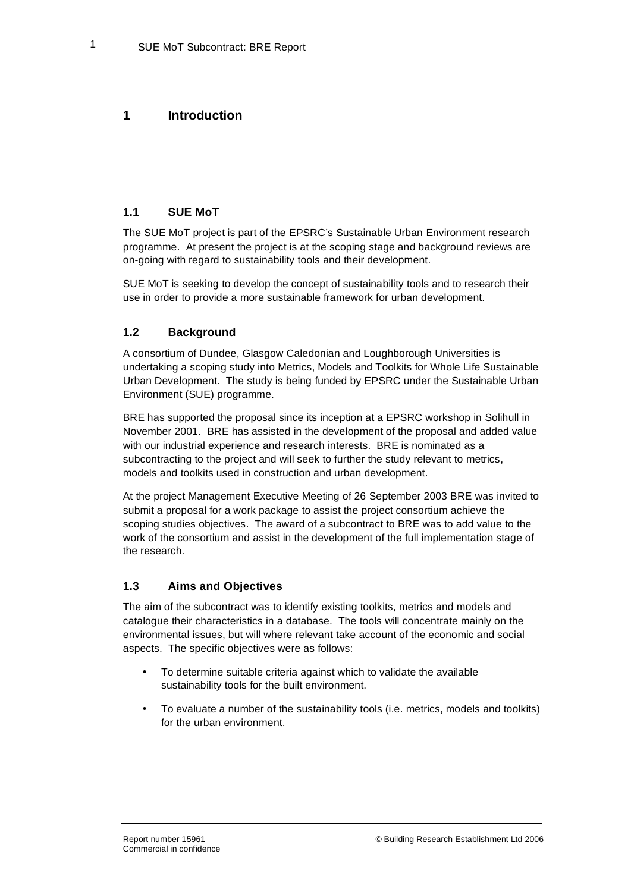## **1 Introduction**

## **1.1 SUE MoT**

The SUE MoT project is part of the EPSRC's Sustainable Urban Environment research programme. At present the project is at the scoping stage and background reviews are on-going with regard to sustainability tools and their development.

SUE MoT is seeking to develop the concept of sustainability tools and to research their use in order to provide a more sustainable framework for urban development.

## **1.2 Background**

A consortium of Dundee, Glasgow Caledonian and Loughborough Universities is undertaking a scoping study into Metrics, Models and Toolkits for Whole Life Sustainable Urban Development. The study is being funded by EPSRC under the Sustainable Urban Environment (SUE) programme.

BRE has supported the proposal since its inception at a EPSRC workshop in Solihull in November 2001. BRE has assisted in the development of the proposal and added value with our industrial experience and research interests. BRE is nominated as a subcontracting to the project and will seek to further the study relevant to metrics, models and toolkits used in construction and urban development.

At the project Management Executive Meeting of 26 September 2003 BRE was invited to submit a proposal for a work package to assist the project consortium achieve the scoping studies objectives. The award of a subcontract to BRE was to add value to the work of the consortium and assist in the development of the full implementation stage of the research.

## **1.3 Aims and Objectives**

The aim of the subcontract was to identify existing toolkits, metrics and models and catalogue their characteristics in a database. The tools will concentrate mainly on the environmental issues, but will where relevant take account of the economic and social aspects. The specific objectives were as follows:

- To determine suitable criteria against which to validate the available sustainability tools for the built environment.
- To evaluate a number of the sustainability tools (i.e. metrics, models and toolkits) for the urban environment.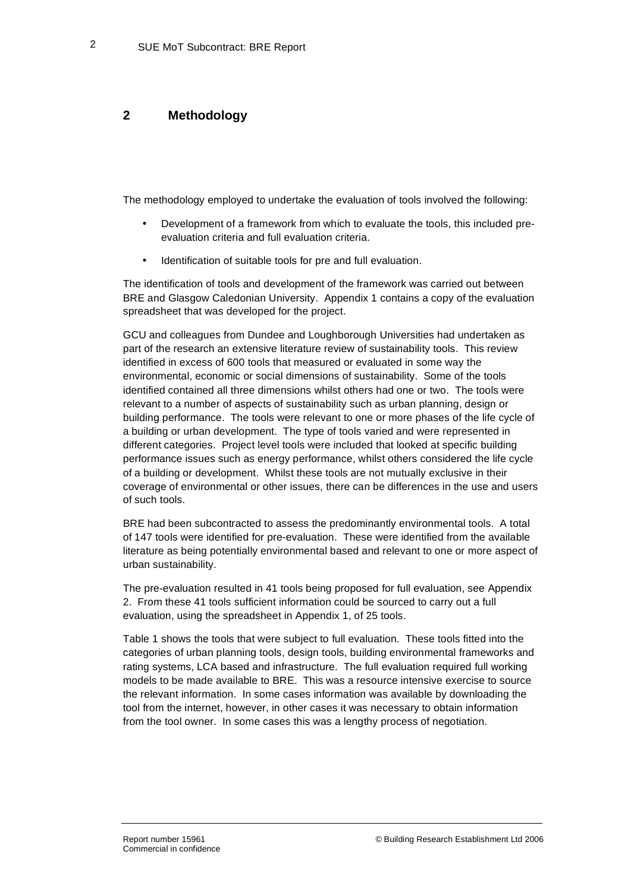## **2 Methodology**

The methodology employed to undertake the evaluation of tools involved the following:

- Development of a framework from which to evaluate the tools, this included preevaluation criteria and full evaluation criteria.
- Identification of suitable tools for pre and full evaluation.

The identification of tools and development of the framework was carried out between BRE and Glasgow Caledonian University. Appendix 1 contains a copy of the evaluation spreadsheet that was developed for the project.

GCU and colleagues from Dundee and Loughborough Universities had undertaken as part of the research an extensive literature review of sustainability tools. This review identified in excess of 600 tools that measured or evaluated in some way the environmental, economic or social dimensions of sustainability. Some of the tools identified contained all three dimensions whilst others had one or two. The tools were relevant to a number of aspects of sustainability such as urban planning, design or building performance. The tools were relevant to one or more phases of the life cycle of a building or urban development. The type of tools varied and were represented in different categories. Project level tools were included that looked at specific building performance issues such as energy performance, whilst others considered the life cycle of a building or development. Whilst these tools are not mutually exclusive in their coverage of environmental or other issues, there can be differences in the use and users of such tools.

BRE had been subcontracted to assess the predominantly environmental tools. A total of 147 tools were identified for pre-evaluation. These were identified from the available literature as being potentially environmental based and relevant to one or more aspect of urban sustainability.

The pre-evaluation resulted in 41 tools being proposed for full evaluation, see Appendix 2. From these 41 tools sufficient information could be sourced to carry out a full evaluation, using the spreadsheet in Appendix 1, of 25 tools.

Table 1 shows the tools that were subject to full evaluation. These tools fitted into the categories of urban planning tools, design tools, building environmental frameworks and rating systems, LCA based and infrastructure. The full evaluation required full working models to be made available to BRE. This was a resource intensive exercise to source the relevant information. In some cases information was available by downloading the tool from the internet, however, in other cases it was necessary to obtain information from the tool owner. In some cases this was a lengthy process of negotiation.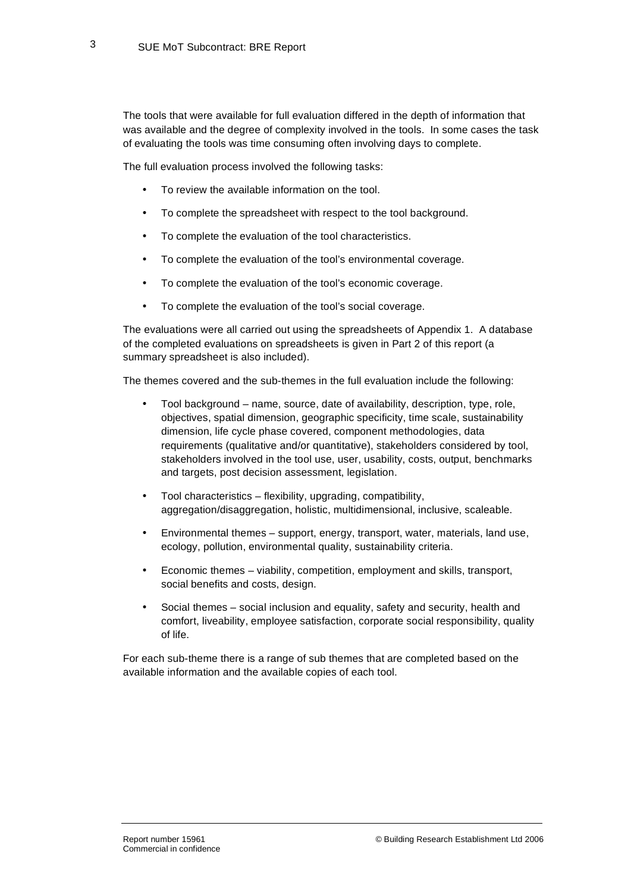The tools that were available for full evaluation differed in the depth of information that was available and the degree of complexity involved in the tools. In some cases the task of evaluating the tools was time consuming often involving days to complete.

The full evaluation process involved the following tasks:

- To review the available information on the tool.
- To complete the spreadsheet with respect to the tool background.
- To complete the evaluation of the tool characteristics.
- To complete the evaluation of the tool's environmental coverage.
- To complete the evaluation of the tool's economic coverage.
- To complete the evaluation of the tool's social coverage.

The evaluations were all carried out using the spreadsheets of Appendix 1. A database of the completed evaluations on spreadsheets is given in Part 2 of this report (a summary spreadsheet is also included).

The themes covered and the sub-themes in the full evaluation include the following:

- Tool background name, source, date of availability, description, type, role, objectives, spatial dimension, geographic specificity, time scale, sustainability dimension, life cycle phase covered, component methodologies, data requirements (qualitative and/or quantitative), stakeholders considered by tool, stakeholders involved in the tool use, user, usability, costs, output, benchmarks and targets, post decision assessment, legislation.
- Tool characteristics flexibility, upgrading, compatibility, aggregation/disaggregation, holistic, multidimensional, inclusive, scaleable.
- Environmental themes support, energy, transport, water, materials, land use, ecology, pollution, environmental quality, sustainability criteria.
- Economic themes viability, competition, employment and skills, transport, social benefits and costs, design.
- Social themes social inclusion and equality, safety and security, health and comfort, liveability, employee satisfaction, corporate social responsibility, quality of life.

For each sub-theme there is a range of sub themes that are completed based on the available information and the available copies of each tool.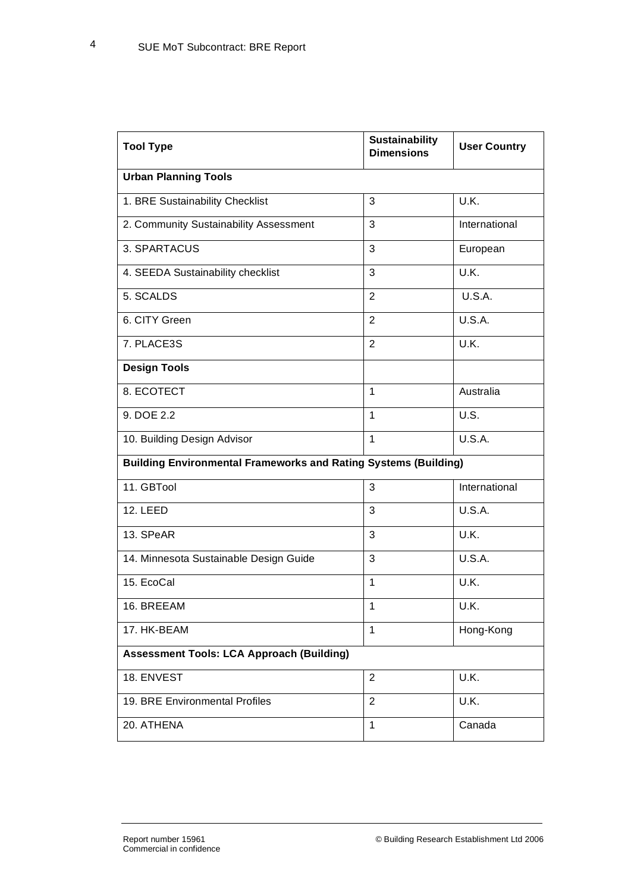| <b>Tool Type</b>                                                       | <b>Sustainability</b><br><b>Dimensions</b> | <b>User Country</b> |
|------------------------------------------------------------------------|--------------------------------------------|---------------------|
| <b>Urban Planning Tools</b>                                            |                                            |                     |
| 1. BRE Sustainability Checklist                                        | 3                                          | U.K.                |
| 2. Community Sustainability Assessment                                 | 3                                          | International       |
| 3. SPARTACUS                                                           | 3                                          | European            |
| 4. SEEDA Sustainability checklist                                      | 3                                          | U.K.                |
| 5. SCALDS                                                              | 2                                          | <b>U.S.A.</b>       |
| 6. CITY Green                                                          | $\overline{2}$                             | <b>U.S.A.</b>       |
| 7. PLACE3S                                                             | $\overline{2}$                             | U.K.                |
| <b>Design Tools</b>                                                    |                                            |                     |
| 8. ECOTECT                                                             | 1                                          | Australia           |
| 9. DOE 2.2                                                             | $\mathbf{1}$                               | U.S.                |
| 10. Building Design Advisor                                            | $\mathbf{1}$                               | U.S.A.              |
| <b>Building Environmental Frameworks and Rating Systems (Building)</b> |                                            |                     |
| 11. GBTool                                                             | 3                                          | International       |
| <b>12. LEED</b>                                                        | 3                                          | U.S.A.              |
| 13. SPeAR                                                              | 3                                          | U.K.                |
| 14. Minnesota Sustainable Design Guide                                 | 3                                          | U.S.A.              |
| 15. EcoCal                                                             | $\mathbf 1$                                | U.K.                |
| 16. BREEAM                                                             | $\mathbf{1}$                               | U.K.                |
| 17. HK-BEAM                                                            | 1                                          | Hong-Kong           |
| <b>Assessment Tools: LCA Approach (Building)</b>                       |                                            |                     |
| 18. ENVEST                                                             | $\overline{2}$                             | U.K.                |
| 19. BRE Environmental Profiles                                         | $\overline{2}$                             | U.K.                |
| 20. ATHENA                                                             | $\mathbf{1}$                               | Canada              |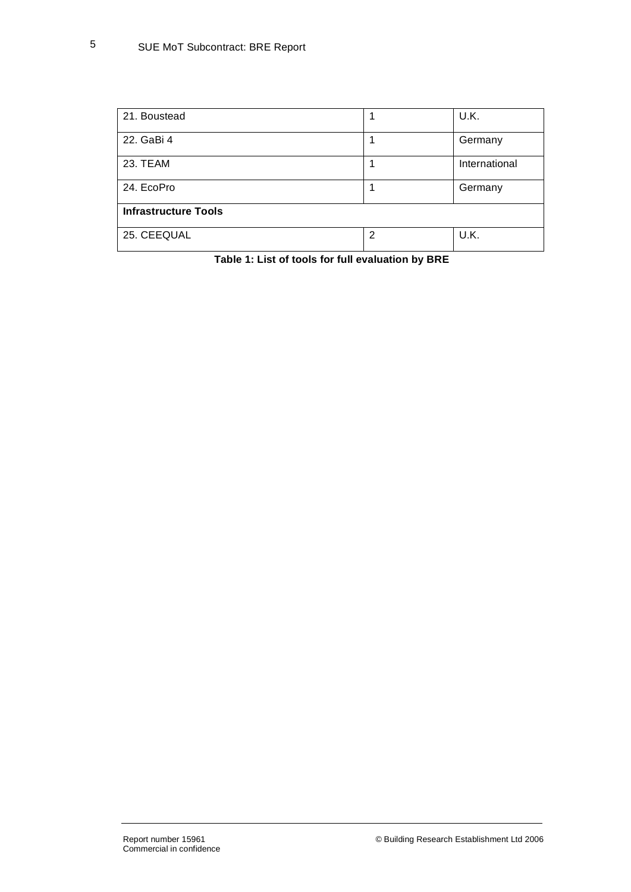| 21. Boustead                |                | U.K.          |
|-----------------------------|----------------|---------------|
| 22. GaBi 4                  |                | Germany       |
| 23. TEAM                    |                | International |
| 24. EcoPro                  |                | Germany       |
| <b>Infrastructure Tools</b> |                |               |
| 25. CEEQUAL                 | $\overline{2}$ | U.K.          |

**Table 1: List of tools for full evaluation by BRE**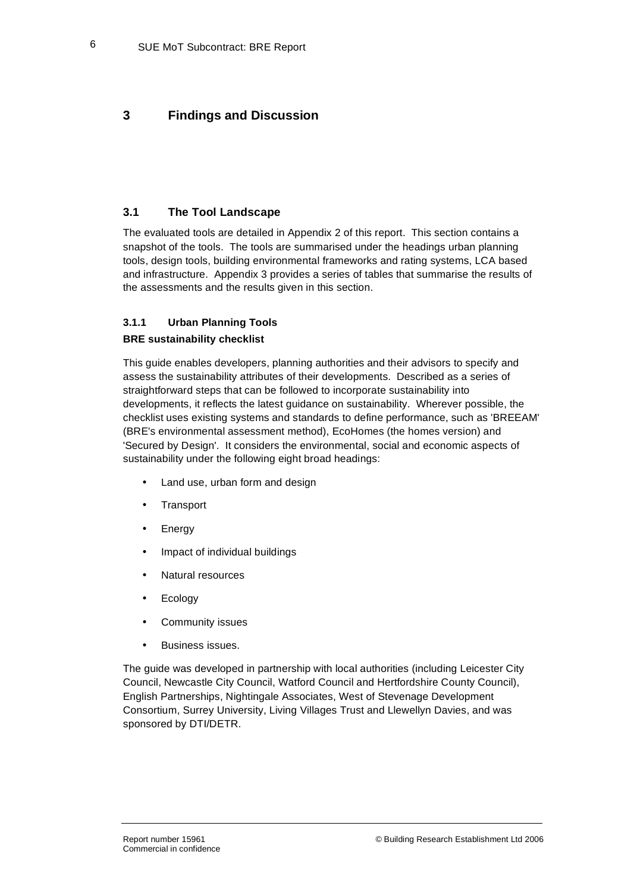## **3 Findings and Discussion**

## **3.1 The Tool Landscape**

The evaluated tools are detailed in Appendix 2 of this report. This section contains a snapshot of the tools. The tools are summarised under the headings urban planning tools, design tools, building environmental frameworks and rating systems, LCA based and infrastructure. Appendix 3 provides a series of tables that summarise the results of the assessments and the results given in this section.

## **3.1.1 Urban Planning Tools**

#### **BRE sustainability checklist**

This guide enables developers, planning authorities and their advisors to specify and assess the sustainability attributes of their developments. Described as a series of straightforward steps that can be followed to incorporate sustainability into developments, it reflects the latest guidance on sustainability. Wherever possible, the checklist uses existing systems and standards to define performance, such as 'BREEAM' (BRE's environmental assessment method), EcoHomes (the homes version) and 'Secured by Design'. It considers the environmental, social and economic aspects of sustainability under the following eight broad headings:

- Land use, urban form and design
- **Transport**
- **Energy**
- Impact of individual buildings
- Natural resources
- **Ecology**
- Community issues
- Business issues.

The guide was developed in partnership with local authorities (including Leicester City Council, Newcastle City Council, Watford Council and Hertfordshire County Council), English Partnerships, Nightingale Associates, West of Stevenage Development Consortium, Surrey University, Living Villages Trust and Llewellyn Davies, and was sponsored by DTI/DETR.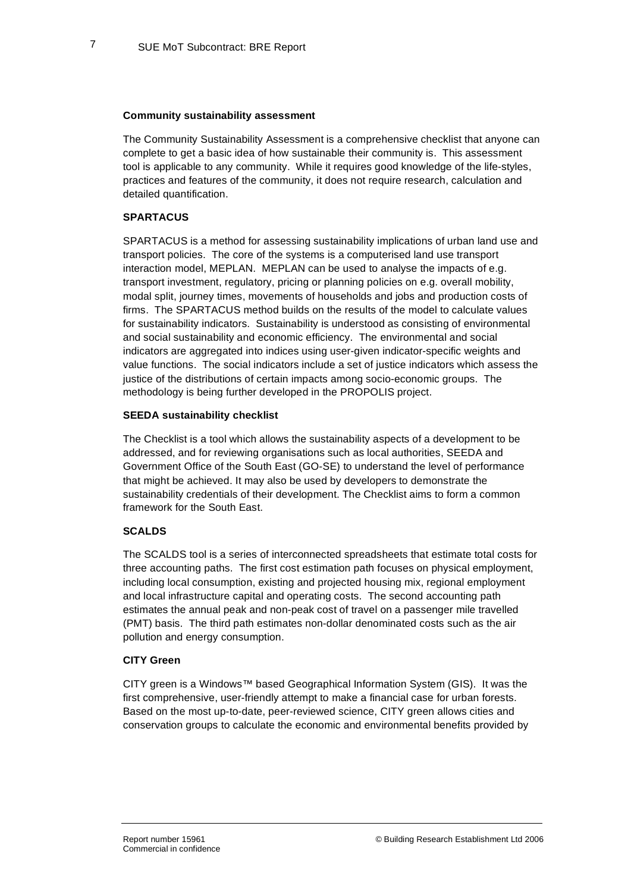#### **Community sustainability assessment**

The Community Sustainability Assessment is a comprehensive checklist that anyone can complete to get a basic idea of how sustainable their community is. This assessment tool is applicable to any community. While it requires good knowledge of the life-styles, practices and features of the community, it does not require research, calculation and detailed quantification.

#### **SPARTACUS**

SPARTACUS is a method for assessing sustainability implications of urban land use and transport policies. The core of the systems is a computerised land use transport interaction model, MEPLAN. MEPLAN can be used to analyse the impacts of e.g. transport investment, regulatory, pricing or planning policies on e.g. overall mobility, modal split, journey times, movements of households and jobs and production costs of firms. The SPARTACUS method builds on the results of the model to calculate values for sustainability indicators. Sustainability is understood as consisting of environmental and social sustainability and economic efficiency. The environmental and social indicators are aggregated into indices using user-given indicator-specific weights and value functions. The social indicators include a set of justice indicators which assess the justice of the distributions of certain impacts among socio-economic groups. The methodology is being further developed in the PROPOLIS project.

#### **SEEDA sustainability checklist**

The Checklist is a tool which allows the sustainability aspects of a development to be addressed, and for reviewing organisations such as local authorities, SEEDA and Government Office of the South East (GO-SE) to understand the level of performance that might be achieved. It may also be used by developers to demonstrate the sustainability credentials of their development. The Checklist aims to form a common framework for the South East.

#### **SCALDS**

The SCALDS tool is a series of interconnected spreadsheets that estimate total costs for three accounting paths. The first cost estimation path focuses on physical employment, including local consumption, existing and projected housing mix, regional employment and local infrastructure capital and operating costs. The second accounting path estimates the annual peak and non-peak cost of travel on a passenger mile travelled (PMT) basis. The third path estimates non-dollar denominated costs such as the air pollution and energy consumption.

#### **CITY Green**

CITY green is a Windows™ based Geographical Information System (GIS). It was the first comprehensive, user-friendly attempt to make a financial case for urban forests. Based on the most up-to-date, peer-reviewed science, CITY green allows cities and conservation groups to calculate the economic and environmental benefits provided by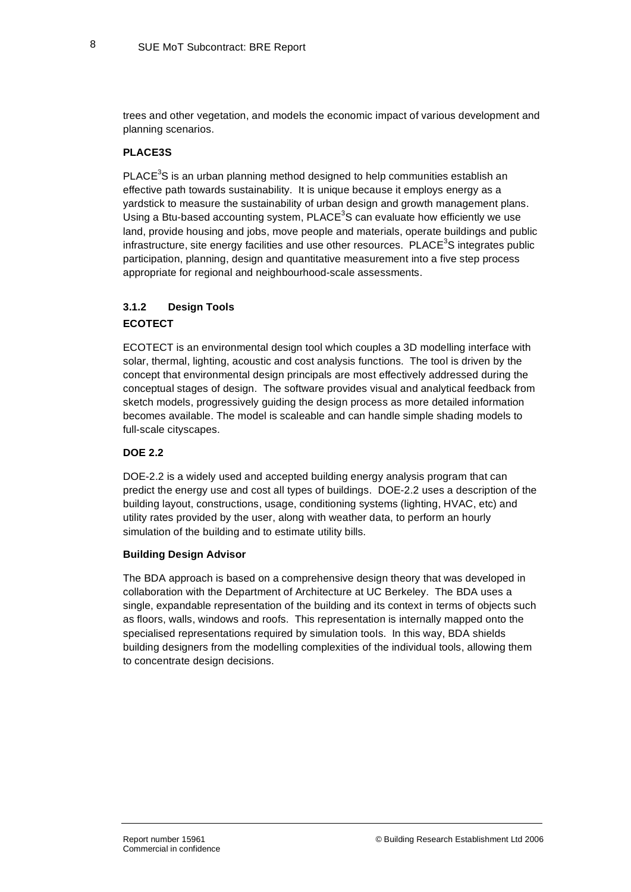trees and other vegetation, and models the economic impact of various development and planning scenarios.

#### **PLACE3S**

PLACE<sup>3</sup>S is an urban planning method designed to help communities establish an effective path towards sustainability. It is unique because it employs energy as a yardstick to measure the sustainability of urban design and growth management plans. Using a Btu-based accounting system,  $PLACE<sup>3</sup>S$  can evaluate how efficiently we use land, provide housing and jobs, move people and materials, operate buildings and public infrastructure, site energy facilities and use other resources. PLACE<sup>3</sup>S integrates public participation, planning, design and quantitative measurement into a five step process appropriate for regional and neighbourhood-scale assessments.

# **3.1.2 Design Tools**

#### **ECOTECT**

ECOTECT is an environmental design tool which couples a 3D modelling interface with solar, thermal, lighting, acoustic and cost analysis functions. The tool is driven by the concept that environmental design principals are most effectively addressed during the conceptual stages of design. The software provides visual and analytical feedback from sketch models, progressively guiding the design process as more detailed information becomes available. The model is scaleable and can handle simple shading models to full-scale cityscapes.

#### **DOE 2.2**

DOE-2.2 is a widely used and accepted building energy analysis program that can predict the energy use and cost all types of buildings. DOE-2.2 uses a description of the building layout, constructions, usage, conditioning systems (lighting, HVAC, etc) and utility rates provided by the user, along with weather data, to perform an hourly simulation of the building and to estimate utility bills.

#### **Building Design Advisor**

The BDA approach is based on a comprehensive design theory that was developed in collaboration with the Department of Architecture at UC Berkeley. The BDA uses a single, expandable representation of the building and its context in terms of objects such as floors, walls, windows and roofs. This representation is internally mapped onto the specialised representations required by simulation tools. In this way, BDA shields building designers from the modelling complexities of the individual tools, allowing them to concentrate design decisions.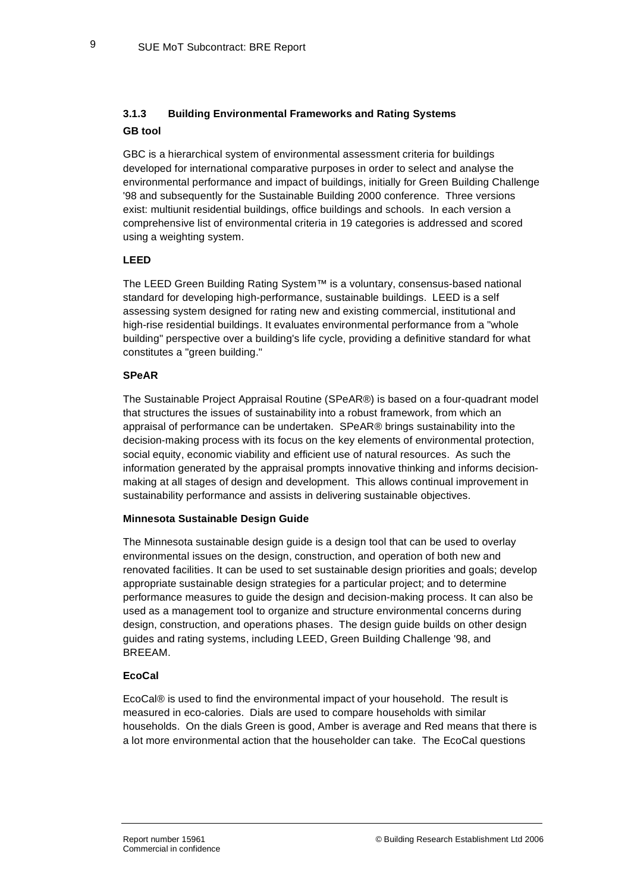## **3.1.3 Building Environmental Frameworks and Rating Systems GB tool**

GBC is a hierarchical system of environmental assessment criteria for buildings developed for international comparative purposes in order to select and analyse the environmental performance and impact of buildings, initially for Green Building Challenge '98 and subsequently for the Sustainable Building 2000 conference. Three versions exist: multiunit residential buildings, office buildings and schools. In each version a comprehensive list of environmental criteria in 19 categories is addressed and scored using a weighting system.

#### **LEED**

9

The LEED Green Building Rating System™ is a voluntary, consensus-based national standard for developing high-performance, sustainable buildings. LEED is a self assessing system designed for rating new and existing commercial, institutional and high-rise residential buildings. It evaluates environmental performance from a "whole building" perspective over a building's life cycle, providing a definitive standard for what constitutes a "green building."

#### **SPeAR**

The Sustainable Project Appraisal Routine (SPeAR®) is based on a four-quadrant model that structures the issues of sustainability into a robust framework, from which an appraisal of performance can be undertaken. SPeAR® brings sustainability into the decision-making process with its focus on the key elements of environmental protection, social equity, economic viability and efficient use of natural resources. As such the information generated by the appraisal prompts innovative thinking and informs decisionmaking at all stages of design and development. This allows continual improvement in sustainability performance and assists in delivering sustainable objectives.

#### **Minnesota Sustainable Design Guide**

The Minnesota sustainable design guide is a design tool that can be used to overlay environmental issues on the design, construction, and operation of both new and renovated facilities. It can be used to set sustainable design priorities and goals; develop appropriate sustainable design strategies for a particular project; and to determine performance measures to guide the design and decision-making process. It can also be used as a management tool to organize and structure environmental concerns during design, construction, and operations phases. The design guide builds on other design guides and rating systems, including LEED, Green Building Challenge '98, and BREEAM.

## **EcoCal**

EcoCal® is used to find the environmental impact of your household. The result is measured in eco-calories. Dials are used to compare households with similar households. On the dials Green is good, Amber is average and Red means that there is a lot more environmental action that the householder can take. The EcoCal questions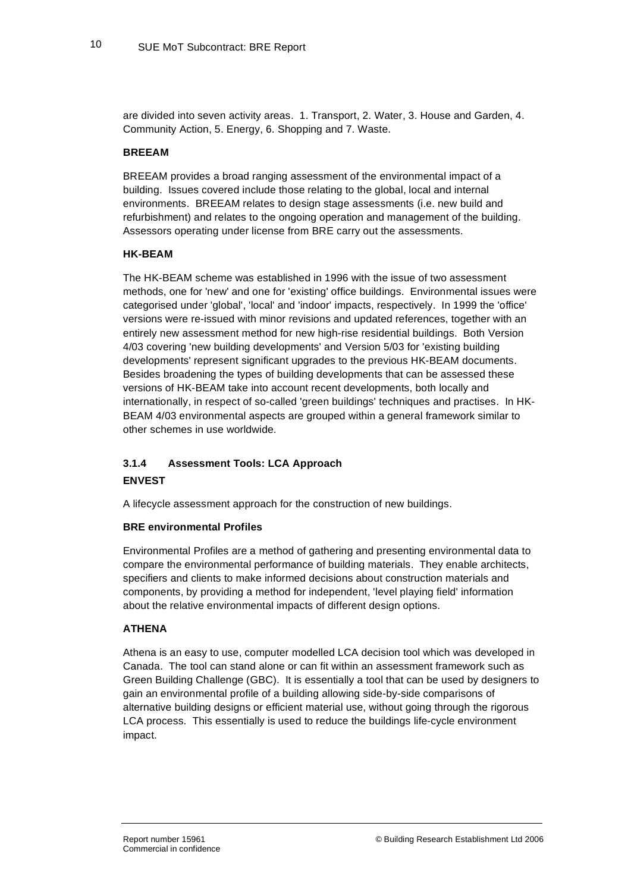are divided into seven activity areas. 1. Transport, 2. Water, 3. House and Garden, 4. Community Action, 5. Energy, 6. Shopping and 7. Waste.

#### **BREEAM**

BREEAM provides a broad ranging assessment of the environmental impact of a building. Issues covered include those relating to the global, local and internal environments. BREEAM relates to design stage assessments (i.e. new build and refurbishment) and relates to the ongoing operation and management of the building. Assessors operating under license from BRE carry out the assessments.

#### **HK-BEAM**

The HK-BEAM scheme was established in 1996 with the issue of two assessment methods, one for 'new' and one for 'existing' office buildings. Environmental issues were categorised under 'global', 'local' and 'indoor' impacts, respectively. In 1999 the 'office' versions were re-issued with minor revisions and updated references, together with an entirely new assessment method for new high-rise residential buildings. Both Version 4/03 covering 'new building developments' and Version 5/03 for 'existing building developments' represent significant upgrades to the previous HK-BEAM documents. Besides broadening the types of building developments that can be assessed these versions of HK-BEAM take into account recent developments, both locally and internationally, in respect of so-called 'green buildings' techniques and practises. In HK-BEAM 4/03 environmental aspects are grouped within a general framework similar to other schemes in use worldwide.

## **3.1.4 Assessment Tools: LCA Approach**

#### **ENVEST**

A lifecycle assessment approach for the construction of new buildings.

## **BRE environmental Profiles**

Environmental Profiles are a method of gathering and presenting environmental data to compare the environmental performance of building materials. They enable architects, specifiers and clients to make informed decisions about construction materials and components, by providing a method for independent, 'level playing field' information about the relative environmental impacts of different design options.

## **ATHENA**

Athena is an easy to use, computer modelled LCA decision tool which was developed in Canada. The tool can stand alone or can fit within an assessment framework such as Green Building Challenge (GBC). It is essentially a tool that can be used by designers to gain an environmental profile of a building allowing side-by-side comparisons of alternative building designs or efficient material use, without going through the rigorous LCA process. This essentially is used to reduce the buildings life-cycle environment impact.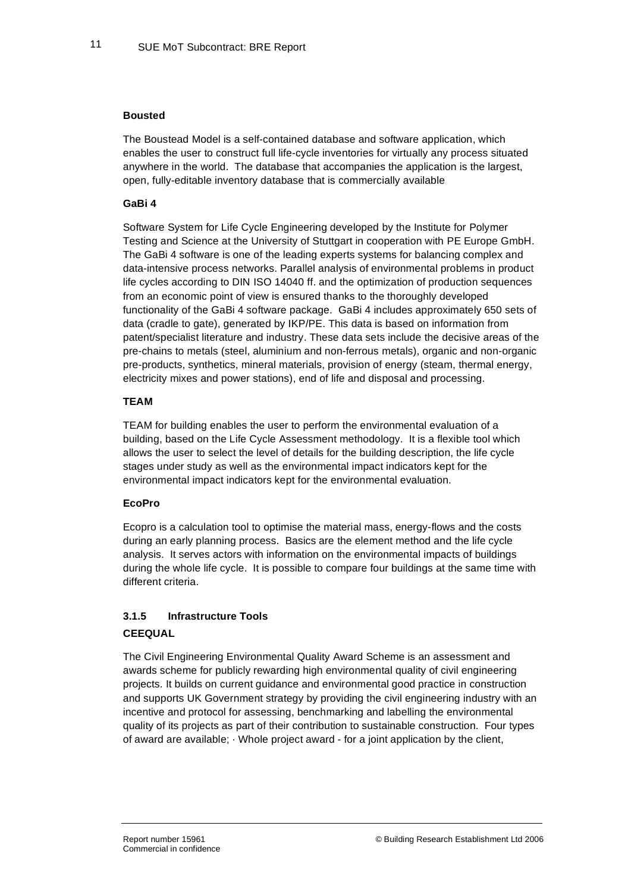#### **Bousted**

The Boustead Model is a self-contained database and software application, which enables the user to construct full life-cycle inventories for virtually any process situated anywhere in the world. The database that accompanies the application is the largest, open, fully-editable inventory database that is commercially available

#### **GaBi 4**

Software System for Life Cycle Engineering developed by the Institute for Polymer Testing and Science at the University of Stuttgart in cooperation with PE Europe GmbH. The GaBi 4 software is one of the leading experts systems for balancing complex and data-intensive process networks. Parallel analysis of environmental problems in product life cycles according to DIN ISO 14040 ff. and the optimization of production sequences from an economic point of view is ensured thanks to the thoroughly developed functionality of the GaBi 4 software package. GaBi 4 includes approximately 650 sets of data (cradle to gate), generated by IKP/PE. This data is based on information from patent/specialist literature and industry. These data sets include the decisive areas of the pre-chains to metals (steel, aluminium and non-ferrous metals), organic and non-organic pre-products, synthetics, mineral materials, provision of energy (steam, thermal energy, electricity mixes and power stations), end of life and disposal and processing.

#### **TEAM**

TEAM for building enables the user to perform the environmental evaluation of a building, based on the Life Cycle Assessment methodology. It is a flexible tool which allows the user to select the level of details for the building description, the life cycle stages under study as well as the environmental impact indicators kept for the environmental impact indicators kept for the environmental evaluation.

#### **EcoPro**

Ecopro is a calculation tool to optimise the material mass, energy-flows and the costs during an early planning process. Basics are the element method and the life cycle analysis. It serves actors with information on the environmental impacts of buildings during the whole life cycle. It is possible to compare four buildings at the same time with different criteria.

## **3.1.5 Infrastructure Tools CEEQUAL**

The Civil Engineering Environmental Quality Award Scheme is an assessment and awards scheme for publicly rewarding high environmental quality of civil engineering projects. It builds on current guidance and environmental good practice in construction and supports UK Government strategy by providing the civil engineering industry with an incentive and protocol for assessing, benchmarking and labelling the environmental quality of its projects as part of their contribution to sustainable construction. Four types of award are available; · Whole project award - for a joint application by the client,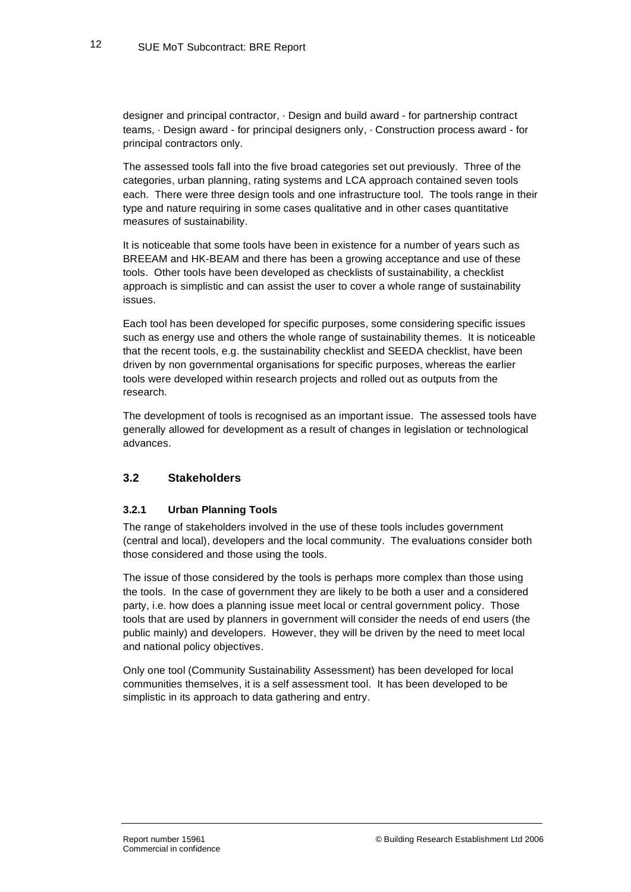designer and principal contractor, · Design and build award - for partnership contract teams, · Design award - for principal designers only, · Construction process award - for principal contractors only.

The assessed tools fall into the five broad categories set out previously. Three of the categories, urban planning, rating systems and LCA approach contained seven tools each. There were three design tools and one infrastructure tool. The tools range in their type and nature requiring in some cases qualitative and in other cases quantitative measures of sustainability.

It is noticeable that some tools have been in existence for a number of years such as BREEAM and HK-BEAM and there has been a growing acceptance and use of these tools. Other tools have been developed as checklists of sustainability, a checklist approach is simplistic and can assist the user to cover a whole range of sustainability issues.

Each tool has been developed for specific purposes, some considering specific issues such as energy use and others the whole range of sustainability themes. It is noticeable that the recent tools, e.g. the sustainability checklist and SEEDA checklist, have been driven by non governmental organisations for specific purposes, whereas the earlier tools were developed within research projects and rolled out as outputs from the research.

The development of tools is recognised as an important issue. The assessed tools have generally allowed for development as a result of changes in legislation or technological advances.

## **3.2 Stakeholders**

## **3.2.1 Urban Planning Tools**

The range of stakeholders involved in the use of these tools includes government (central and local), developers and the local community. The evaluations consider both those considered and those using the tools.

The issue of those considered by the tools is perhaps more complex than those using the tools. In the case of government they are likely to be both a user and a considered party, i.e. how does a planning issue meet local or central government policy. Those tools that are used by planners in government will consider the needs of end users (the public mainly) and developers. However, they will be driven by the need to meet local and national policy objectives.

Only one tool (Community Sustainability Assessment) has been developed for local communities themselves, it is a self assessment tool. It has been developed to be simplistic in its approach to data gathering and entry.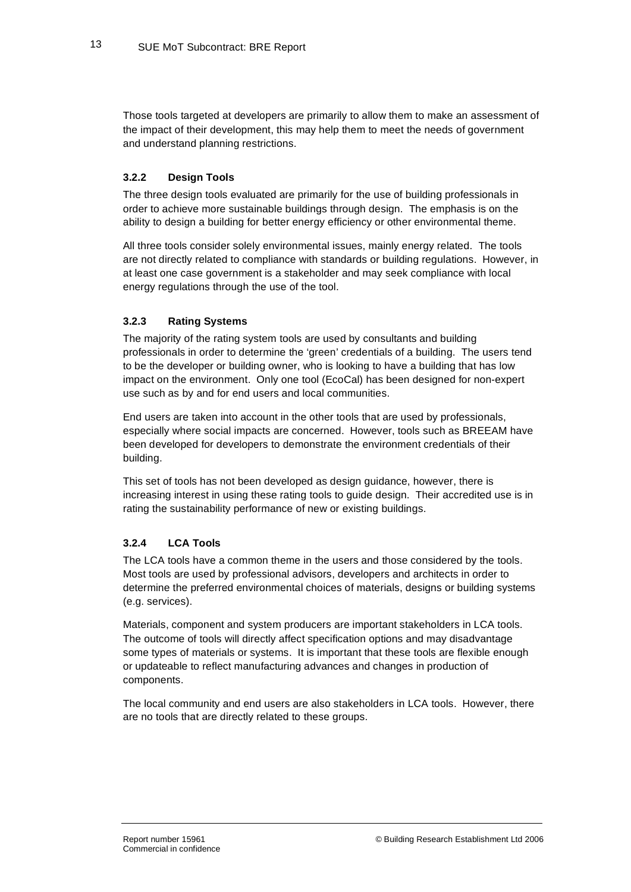Those tools targeted at developers are primarily to allow them to make an assessment of the impact of their development, this may help them to meet the needs of government and understand planning restrictions.

## **3.2.2 Design Tools**

The three design tools evaluated are primarily for the use of building professionals in order to achieve more sustainable buildings through design. The emphasis is on the ability to design a building for better energy efficiency or other environmental theme.

All three tools consider solely environmental issues, mainly energy related. The tools are not directly related to compliance with standards or building regulations. However, in at least one case government is a stakeholder and may seek compliance with local energy regulations through the use of the tool.

## **3.2.3 Rating Systems**

The majority of the rating system tools are used by consultants and building professionals in order to determine the 'green' credentials of a building. The users tend to be the developer or building owner, who is looking to have a building that has low impact on the environment. Only one tool (EcoCal) has been designed for non-expert use such as by and for end users and local communities.

End users are taken into account in the other tools that are used by professionals, especially where social impacts are concerned. However, tools such as BREEAM have been developed for developers to demonstrate the environment credentials of their building.

This set of tools has not been developed as design guidance, however, there is increasing interest in using these rating tools to guide design. Their accredited use is in rating the sustainability performance of new or existing buildings.

## **3.2.4 LCA Tools**

The LCA tools have a common theme in the users and those considered by the tools. Most tools are used by professional advisors, developers and architects in order to determine the preferred environmental choices of materials, designs or building systems (e.g. services).

Materials, component and system producers are important stakeholders in LCA tools. The outcome of tools will directly affect specification options and may disadvantage some types of materials or systems. It is important that these tools are flexible enough or updateable to reflect manufacturing advances and changes in production of components.

The local community and end users are also stakeholders in LCA tools. However, there are no tools that are directly related to these groups.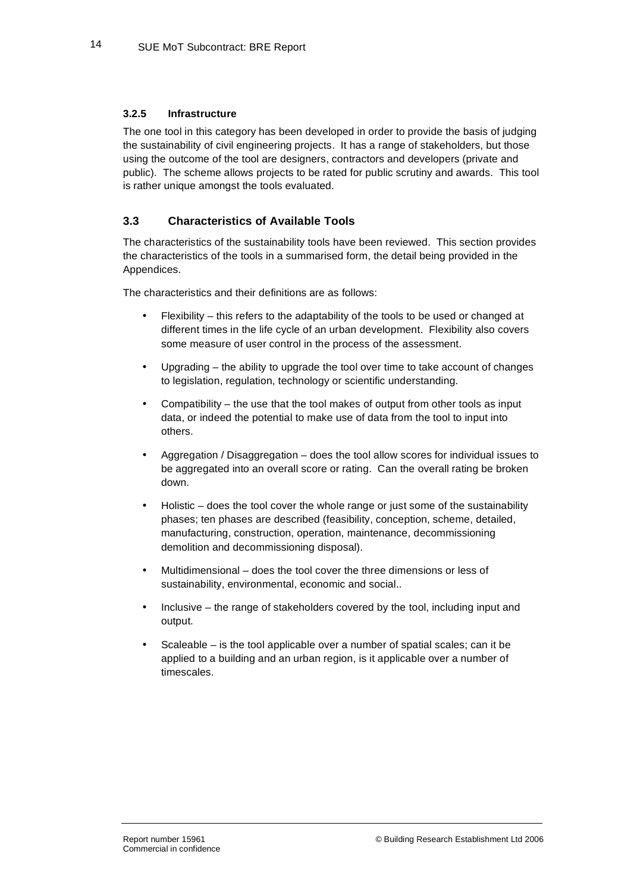## **3.2.5 Infrastructure**

The one tool in this category has been developed in order to provide the basis of judging the sustainability of civil engineering projects. It has a range of stakeholders, but those using the outcome of the tool are designers, contractors and developers (private and public). The scheme allows projects to be rated for public scrutiny and awards. This tool is rather unique amongst the tools evaluated.

## **3.3 Characteristics of Available Tools**

The characteristics of the sustainability tools have been reviewed. This section provides the characteristics of the tools in a summarised form, the detail being provided in the Appendices.

The characteristics and their definitions are as follows:

- Flexibility this refers to the adaptability of the tools to be used or changed at different times in the life cycle of an urban development. Flexibility also covers some measure of user control in the process of the assessment.
- Upgrading  $-$  the ability to upgrade the tool over time to take account of changes to legislation, regulation, technology or scientific understanding.
- Compatibility the use that the tool makes of output from other tools as input data, or indeed the potential to make use of data from the tool to input into others.
- Aggregation / Disaggregation does the tool allow scores for individual issues to be aggregated into an overall score or rating. Can the overall rating be broken down.
- Holistic does the tool cover the whole range or just some of the sustainability phases; ten phases are described (feasibility, conception, scheme, detailed, manufacturing, construction, operation, maintenance, decommissioning demolition and decommissioning disposal).
- Multidimensional does the tool cover the three dimensions or less of sustainability, environmental, economic and social..
- Inclusive the range of stakeholders covered by the tool, including input and output.
- Scaleable is the tool applicable over a number of spatial scales; can it be applied to a building and an urban region, is it applicable over a number of timescales.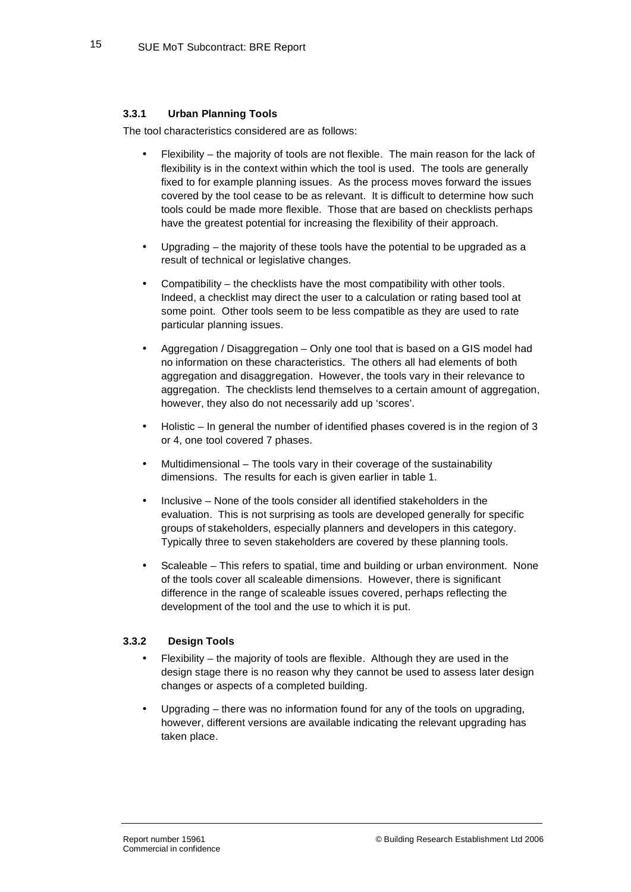#### **3.3.1 Urban Planning Tools**

The tool characteristics considered are as follows:

- Flexibility the majority of tools are not flexible. The main reason for the lack of flexibility is in the context within which the tool is used. The tools are generally fixed to for example planning issues. As the process moves forward the issues covered by the tool cease to be as relevant. It is difficult to determine how such tools could be made more flexible. Those that are based on checklists perhaps have the greatest potential for increasing the flexibility of their approach.
- Upgrading  $-$  the majority of these tools have the potential to be upgraded as a result of technical or legislative changes.
- Compatibility the checklists have the most compatibility with other tools. Indeed, a checklist may direct the user to a calculation or rating based tool at some point. Other tools seem to be less compatible as they are used to rate particular planning issues.
- Aggregation / Disaggregation Only one tool that is based on a GIS model had no information on these characteristics. The others all had elements of both aggregation and disaggregation. However, the tools vary in their relevance to aggregation. The checklists lend themselves to a certain amount of aggregation, however, they also do not necessarily add up 'scores'.
- Holistic In general the number of identified phases covered is in the region of 3 or 4, one tool covered 7 phases.
- Multidimensional The tools vary in their coverage of the sustainability dimensions. The results for each is given earlier in table 1.
- Inclusive None of the tools consider all identified stakeholders in the evaluation. This is not surprising as tools are developed generally for specific groups of stakeholders, especially planners and developers in this category. Typically three to seven stakeholders are covered by these planning tools.
- Scaleable This refers to spatial, time and building or urban environment. None of the tools cover all scaleable dimensions. However, there is significant difference in the range of scaleable issues covered, perhaps reflecting the development of the tool and the use to which it is put.

#### **3.3.2 Design Tools**

- Flexibility the majority of tools are flexible. Although they are used in the design stage there is no reason why they cannot be used to assess later design changes or aspects of a completed building.
- Upgrading there was no information found for any of the tools on upgrading, however, different versions are available indicating the relevant upgrading has taken place.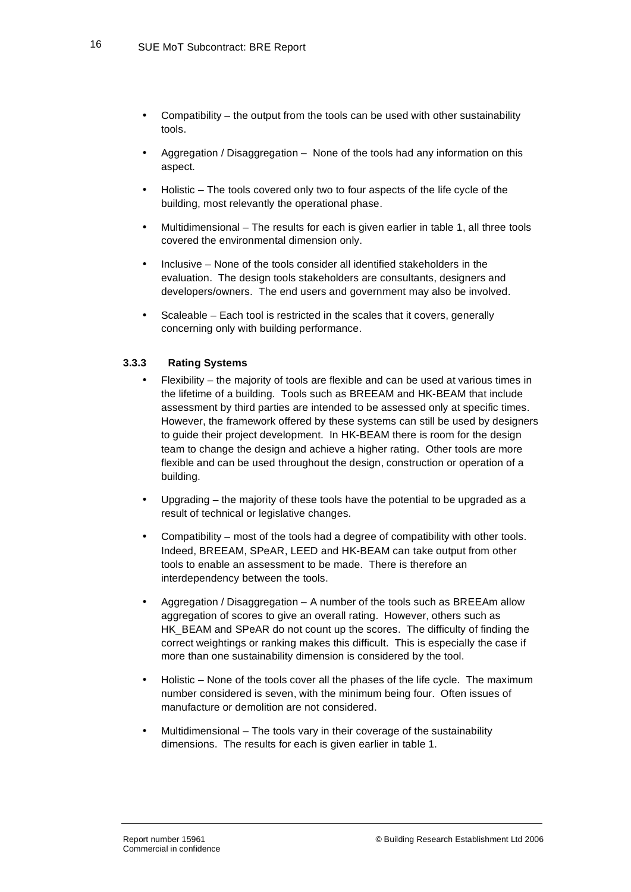- Compatibility the output from the tools can be used with other sustainability tools.
- Aggregation / Disaggregation None of the tools had any information on this aspect.
- Holistic The tools covered only two to four aspects of the life cycle of the building, most relevantly the operational phase.
- Multidimensional The results for each is given earlier in table 1, all three tools covered the environmental dimension only.
- Inclusive None of the tools consider all identified stakeholders in the evaluation. The design tools stakeholders are consultants, designers and developers/owners. The end users and government may also be involved.
- Scaleable Each tool is restricted in the scales that it covers, generally concerning only with building performance.

#### **3.3.3 Rating Systems**

- Flexibility the majority of tools are flexible and can be used at various times in the lifetime of a building. Tools such as BREEAM and HK-BEAM that include assessment by third parties are intended to be assessed only at specific times. However, the framework offered by these systems can still be used by designers to guide their project development. In HK-BEAM there is room for the design team to change the design and achieve a higher rating. Other tools are more flexible and can be used throughout the design, construction or operation of a building.
- Upgrading the majority of these tools have the potential to be upgraded as a result of technical or legislative changes.
- Compatibility most of the tools had a degree of compatibility with other tools. Indeed, BREEAM, SPeAR, LEED and HK-BEAM can take output from other tools to enable an assessment to be made. There is therefore an interdependency between the tools.
- Aggregation / Disaggregation A number of the tools such as BREEAm allow aggregation of scores to give an overall rating. However, others such as HK\_BEAM and SPeAR do not count up the scores. The difficulty of finding the correct weightings or ranking makes this difficult. This is especially the case if more than one sustainability dimension is considered by the tool.
- Holistic None of the tools cover all the phases of the life cycle. The maximum number considered is seven, with the minimum being four. Often issues of manufacture or demolition are not considered.
- Multidimensional The tools vary in their coverage of the sustainability dimensions. The results for each is given earlier in table 1.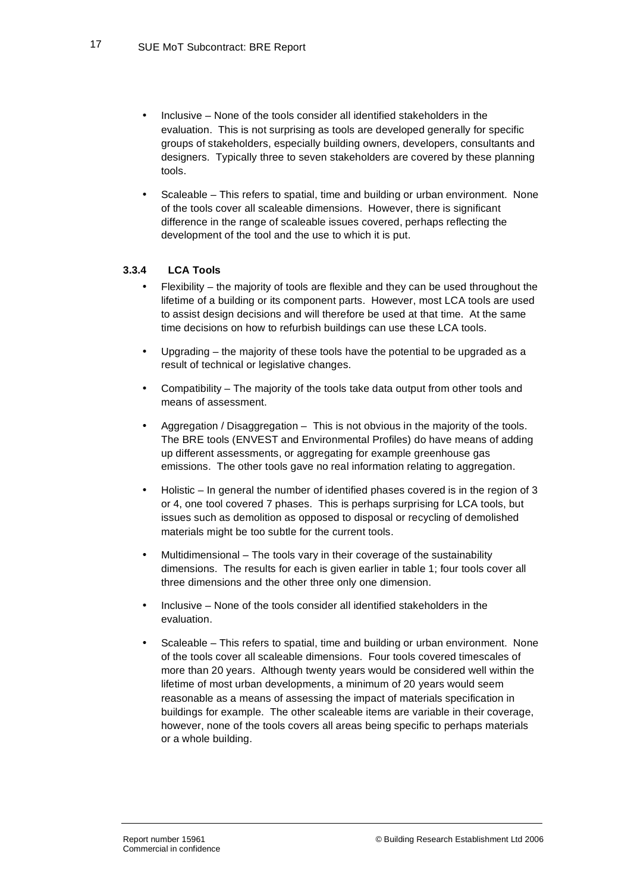- Inclusive None of the tools consider all identified stakeholders in the evaluation. This is not surprising as tools are developed generally for specific groups of stakeholders, especially building owners, developers, consultants and designers. Typically three to seven stakeholders are covered by these planning tools.
- Scaleable This refers to spatial, time and building or urban environment. None of the tools cover all scaleable dimensions. However, there is significant difference in the range of scaleable issues covered, perhaps reflecting the development of the tool and the use to which it is put.

## **3.3.4 LCA Tools**

- Flexibility the majority of tools are flexible and they can be used throughout the lifetime of a building or its component parts. However, most LCA tools are used to assist design decisions and will therefore be used at that time. At the same time decisions on how to refurbish buildings can use these LCA tools.
- Upgrading the majority of these tools have the potential to be upgraded as a result of technical or legislative changes.
- Compatibility The majority of the tools take data output from other tools and means of assessment.
- Aggregation / Disaggregation This is not obvious in the majority of the tools. The BRE tools (ENVEST and Environmental Profiles) do have means of adding up different assessments, or aggregating for example greenhouse gas emissions. The other tools gave no real information relating to aggregation.
- Holistic In general the number of identified phases covered is in the region of 3 or 4, one tool covered 7 phases. This is perhaps surprising for LCA tools, but issues such as demolition as opposed to disposal or recycling of demolished materials might be too subtle for the current tools.
- Multidimensional The tools vary in their coverage of the sustainability dimensions. The results for each is given earlier in table 1; four tools cover all three dimensions and the other three only one dimension.
- Inclusive None of the tools consider all identified stakeholders in the evaluation.
- Scaleable This refers to spatial, time and building or urban environment. None of the tools cover all scaleable dimensions. Four tools covered timescales of more than 20 years. Although twenty years would be considered well within the lifetime of most urban developments, a minimum of 20 years would seem reasonable as a means of assessing the impact of materials specification in buildings for example. The other scaleable items are variable in their coverage, however, none of the tools covers all areas being specific to perhaps materials or a whole building.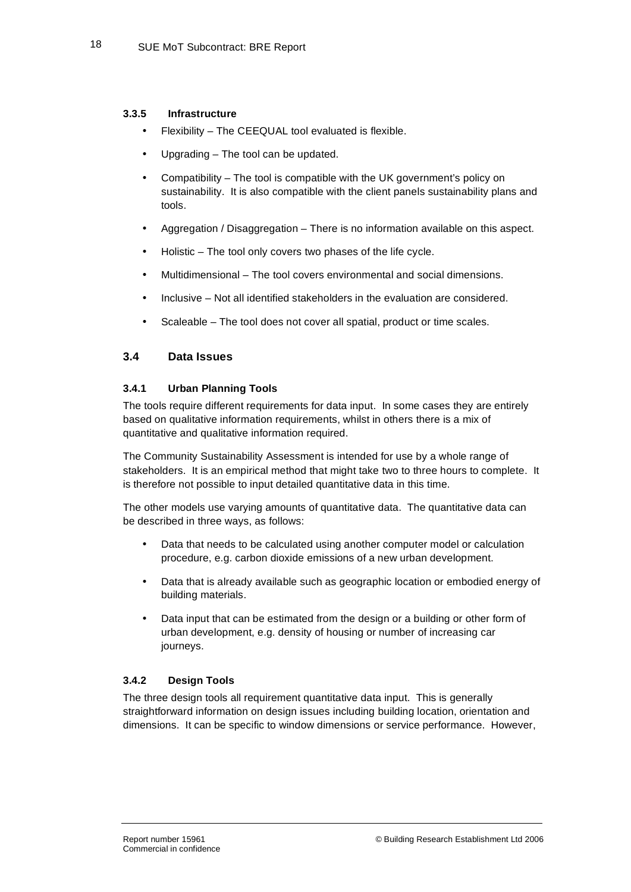#### **3.3.5 Infrastructure**

- Flexibility The CEEQUAL tool evaluated is flexible.
- Upgrading The tool can be updated.
- Compatibility The tool is compatible with the UK government's policy on sustainability. It is also compatible with the client panels sustainability plans and tools.
- Aggregation / Disaggregation There is no information available on this aspect.
- Holistic The tool only covers two phases of the life cycle.
- Multidimensional The tool covers environmental and social dimensions.
- Inclusive Not all identified stakeholders in the evaluation are considered.
- Scaleable The tool does not cover all spatial, product or time scales.

#### **3.4 Data Issues**

#### **3.4.1 Urban Planning Tools**

The tools require different requirements for data input. In some cases they are entirely based on qualitative information requirements, whilst in others there is a mix of quantitative and qualitative information required.

The Community Sustainability Assessment is intended for use by a whole range of stakeholders. It is an empirical method that might take two to three hours to complete. It is therefore not possible to input detailed quantitative data in this time.

The other models use varying amounts of quantitative data. The quantitative data can be described in three ways, as follows:

- Data that needs to be calculated using another computer model or calculation procedure, e.g. carbon dioxide emissions of a new urban development.
- Data that is already available such as geographic location or embodied energy of building materials.
- Data input that can be estimated from the design or a building or other form of urban development, e.g. density of housing or number of increasing car journeys.

#### **3.4.2 Design Tools**

The three design tools all requirement quantitative data input. This is generally straightforward information on design issues including building location, orientation and dimensions. It can be specific to window dimensions or service performance. However,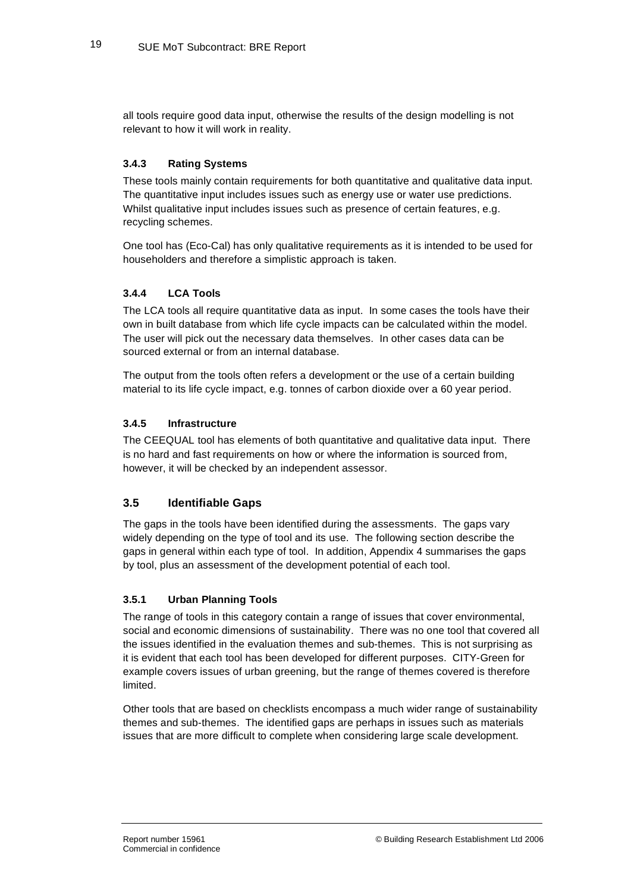all tools require good data input, otherwise the results of the design modelling is not relevant to how it will work in reality.

## **3.4.3 Rating Systems**

These tools mainly contain requirements for both quantitative and qualitative data input. The quantitative input includes issues such as energy use or water use predictions. Whilst qualitative input includes issues such as presence of certain features, e.g. recycling schemes.

One tool has (Eco-Cal) has only qualitative requirements as it is intended to be used for householders and therefore a simplistic approach is taken.

## **3.4.4 LCA Tools**

The LCA tools all require quantitative data as input. In some cases the tools have their own in built database from which life cycle impacts can be calculated within the model. The user will pick out the necessary data themselves. In other cases data can be sourced external or from an internal database.

The output from the tools often refers a development or the use of a certain building material to its life cycle impact, e.g. tonnes of carbon dioxide over a 60 year period.

## **3.4.5 Infrastructure**

The CEEQUAL tool has elements of both quantitative and qualitative data input. There is no hard and fast requirements on how or where the information is sourced from, however, it will be checked by an independent assessor.

## **3.5 Identifiable Gaps**

The gaps in the tools have been identified during the assessments. The gaps vary widely depending on the type of tool and its use. The following section describe the gaps in general within each type of tool. In addition, Appendix 4 summarises the gaps by tool, plus an assessment of the development potential of each tool.

## **3.5.1 Urban Planning Tools**

The range of tools in this category contain a range of issues that cover environmental, social and economic dimensions of sustainability. There was no one tool that covered all the issues identified in the evaluation themes and sub-themes. This is not surprising as it is evident that each tool has been developed for different purposes. CITY-Green for example covers issues of urban greening, but the range of themes covered is therefore limited.

Other tools that are based on checklists encompass a much wider range of sustainability themes and sub-themes. The identified gaps are perhaps in issues such as materials issues that are more difficult to complete when considering large scale development.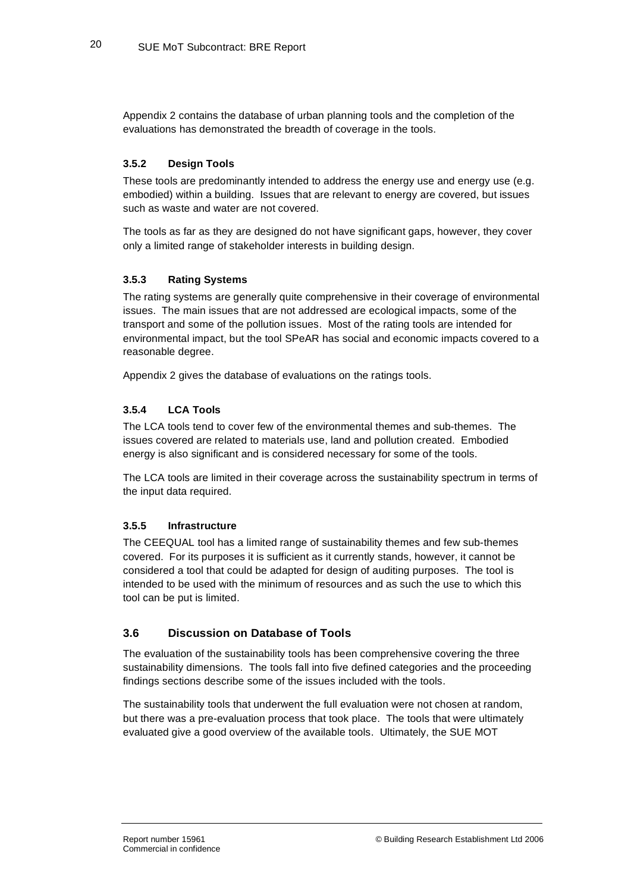Appendix 2 contains the database of urban planning tools and the completion of the evaluations has demonstrated the breadth of coverage in the tools.

## **3.5.2 Design Tools**

These tools are predominantly intended to address the energy use and energy use (e.g. embodied) within a building. Issues that are relevant to energy are covered, but issues such as waste and water are not covered.

The tools as far as they are designed do not have significant gaps, however, they cover only a limited range of stakeholder interests in building design.

#### **3.5.3 Rating Systems**

The rating systems are generally quite comprehensive in their coverage of environmental issues. The main issues that are not addressed are ecological impacts, some of the transport and some of the pollution issues. Most of the rating tools are intended for environmental impact, but the tool SPeAR has social and economic impacts covered to a reasonable degree.

Appendix 2 gives the database of evaluations on the ratings tools.

#### **3.5.4 LCA Tools**

The LCA tools tend to cover few of the environmental themes and sub-themes. The issues covered are related to materials use, land and pollution created. Embodied energy is also significant and is considered necessary for some of the tools.

The LCA tools are limited in their coverage across the sustainability spectrum in terms of the input data required.

#### **3.5.5 Infrastructure**

The CEEQUAL tool has a limited range of sustainability themes and few sub-themes covered. For its purposes it is sufficient as it currently stands, however, it cannot be considered a tool that could be adapted for design of auditing purposes. The tool is intended to be used with the minimum of resources and as such the use to which this tool can be put is limited.

## **3.6 Discussion on Database of Tools**

The evaluation of the sustainability tools has been comprehensive covering the three sustainability dimensions. The tools fall into five defined categories and the proceeding findings sections describe some of the issues included with the tools.

The sustainability tools that underwent the full evaluation were not chosen at random, but there was a pre-evaluation process that took place. The tools that were ultimately evaluated give a good overview of the available tools. Ultimately, the SUE MOT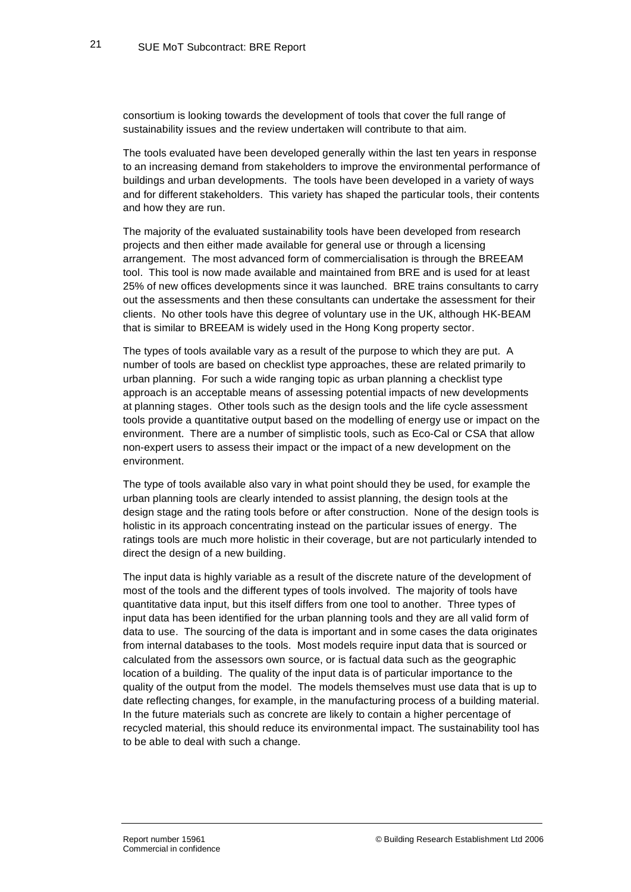consortium is looking towards the development of tools that cover the full range of sustainability issues and the review undertaken will contribute to that aim.

The tools evaluated have been developed generally within the last ten years in response to an increasing demand from stakeholders to improve the environmental performance of buildings and urban developments. The tools have been developed in a variety of ways and for different stakeholders. This variety has shaped the particular tools, their contents and how they are run.

The majority of the evaluated sustainability tools have been developed from research projects and then either made available for general use or through a licensing arrangement. The most advanced form of commercialisation is through the BREEAM tool. This tool is now made available and maintained from BRE and is used for at least 25% of new offices developments since it was launched. BRE trains consultants to carry out the assessments and then these consultants can undertake the assessment for their clients. No other tools have this degree of voluntary use in the UK, although HK-BEAM that is similar to BREEAM is widely used in the Hong Kong property sector.

The types of tools available vary as a result of the purpose to which they are put. A number of tools are based on checklist type approaches, these are related primarily to urban planning. For such a wide ranging topic as urban planning a checklist type approach is an acceptable means of assessing potential impacts of new developments at planning stages. Other tools such as the design tools and the life cycle assessment tools provide a quantitative output based on the modelling of energy use or impact on the environment. There are a number of simplistic tools, such as Eco-Cal or CSA that allow non-expert users to assess their impact or the impact of a new development on the environment.

The type of tools available also vary in what point should they be used, for example the urban planning tools are clearly intended to assist planning, the design tools at the design stage and the rating tools before or after construction. None of the design tools is holistic in its approach concentrating instead on the particular issues of energy. The ratings tools are much more holistic in their coverage, but are not particularly intended to direct the design of a new building.

The input data is highly variable as a result of the discrete nature of the development of most of the tools and the different types of tools involved. The majority of tools have quantitative data input, but this itself differs from one tool to another. Three types of input data has been identified for the urban planning tools and they are all valid form of data to use. The sourcing of the data is important and in some cases the data originates from internal databases to the tools. Most models require input data that is sourced or calculated from the assessors own source, or is factual data such as the geographic location of a building. The quality of the input data is of particular importance to the quality of the output from the model. The models themselves must use data that is up to date reflecting changes, for example, in the manufacturing process of a building material. In the future materials such as concrete are likely to contain a higher percentage of recycled material, this should reduce its environmental impact. The sustainability tool has to be able to deal with such a change.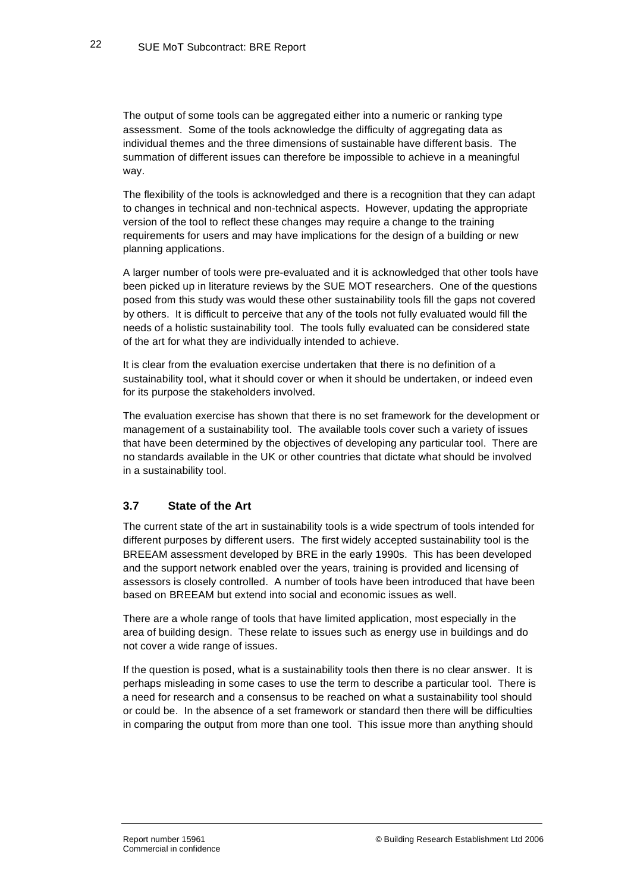The output of some tools can be aggregated either into a numeric or ranking type assessment. Some of the tools acknowledge the difficulty of aggregating data as individual themes and the three dimensions of sustainable have different basis. The summation of different issues can therefore be impossible to achieve in a meaningful way.

The flexibility of the tools is acknowledged and there is a recognition that they can adapt to changes in technical and non-technical aspects. However, updating the appropriate version of the tool to reflect these changes may require a change to the training requirements for users and may have implications for the design of a building or new planning applications.

A larger number of tools were pre-evaluated and it is acknowledged that other tools have been picked up in literature reviews by the SUE MOT researchers. One of the questions posed from this study was would these other sustainability tools fill the gaps not covered by others. It is difficult to perceive that any of the tools not fully evaluated would fill the needs of a holistic sustainability tool. The tools fully evaluated can be considered state of the art for what they are individually intended to achieve.

It is clear from the evaluation exercise undertaken that there is no definition of a sustainability tool, what it should cover or when it should be undertaken, or indeed even for its purpose the stakeholders involved.

The evaluation exercise has shown that there is no set framework for the development or management of a sustainability tool. The available tools cover such a variety of issues that have been determined by the objectives of developing any particular tool. There are no standards available in the UK or other countries that dictate what should be involved in a sustainability tool.

## **3.7 State of the Art**

The current state of the art in sustainability tools is a wide spectrum of tools intended for different purposes by different users. The first widely accepted sustainability tool is the BREEAM assessment developed by BRE in the early 1990s. This has been developed and the support network enabled over the years, training is provided and licensing of assessors is closely controlled. A number of tools have been introduced that have been based on BREEAM but extend into social and economic issues as well.

There are a whole range of tools that have limited application, most especially in the area of building design. These relate to issues such as energy use in buildings and do not cover a wide range of issues.

If the question is posed, what is a sustainability tools then there is no clear answer. It is perhaps misleading in some cases to use the term to describe a particular tool. There is a need for research and a consensus to be reached on what a sustainability tool should or could be. In the absence of a set framework or standard then there will be difficulties in comparing the output from more than one tool. This issue more than anything should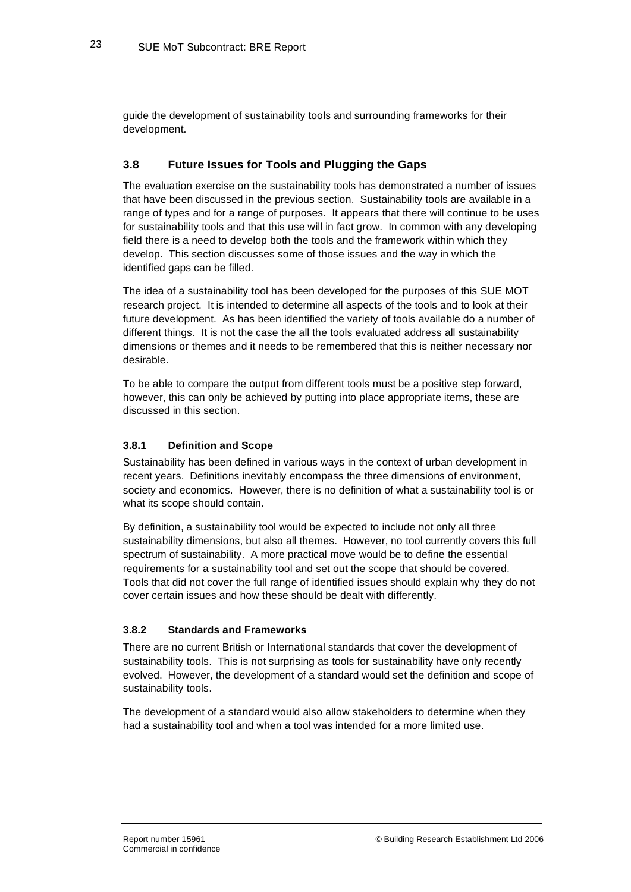guide the development of sustainability tools and surrounding frameworks for their development.

## **3.8 Future Issues for Tools and Plugging the Gaps**

The evaluation exercise on the sustainability tools has demonstrated a number of issues that have been discussed in the previous section. Sustainability tools are available in a range of types and for a range of purposes. It appears that there will continue to be uses for sustainability tools and that this use will in fact grow. In common with any developing field there is a need to develop both the tools and the framework within which they develop. This section discusses some of those issues and the way in which the identified gaps can be filled.

The idea of a sustainability tool has been developed for the purposes of this SUE MOT research project. It is intended to determine all aspects of the tools and to look at their future development. As has been identified the variety of tools available do a number of different things. It is not the case the all the tools evaluated address all sustainability dimensions or themes and it needs to be remembered that this is neither necessary nor desirable.

To be able to compare the output from different tools must be a positive step forward, however, this can only be achieved by putting into place appropriate items, these are discussed in this section.

#### **3.8.1 Definition and Scope**

Sustainability has been defined in various ways in the context of urban development in recent years. Definitions inevitably encompass the three dimensions of environment, society and economics. However, there is no definition of what a sustainability tool is or what its scope should contain.

By definition, a sustainability tool would be expected to include not only all three sustainability dimensions, but also all themes. However, no tool currently covers this full spectrum of sustainability. A more practical move would be to define the essential requirements for a sustainability tool and set out the scope that should be covered. Tools that did not cover the full range of identified issues should explain why they do not cover certain issues and how these should be dealt with differently.

## **3.8.2 Standards and Frameworks**

There are no current British or International standards that cover the development of sustainability tools. This is not surprising as tools for sustainability have only recently evolved. However, the development of a standard would set the definition and scope of sustainability tools.

The development of a standard would also allow stakeholders to determine when they had a sustainability tool and when a tool was intended for a more limited use.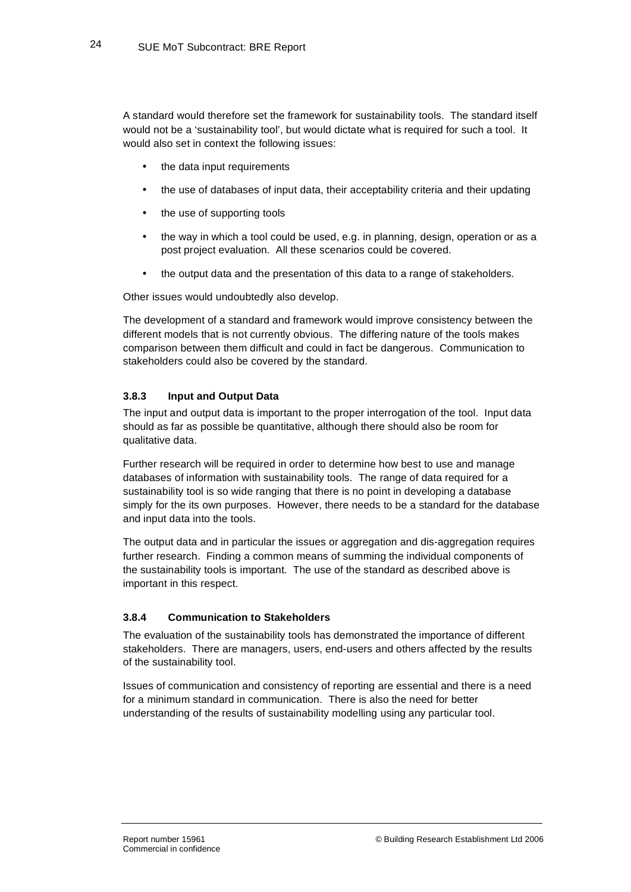A standard would therefore set the framework for sustainability tools. The standard itself would not be a 'sustainability tool', but would dictate what is required for such a tool. It would also set in context the following issues:

- the data input requirements
- the use of databases of input data, their acceptability criteria and their updating
- the use of supporting tools
- the way in which a tool could be used, e.g. in planning, design, operation or as a post project evaluation. All these scenarios could be covered.
- the output data and the presentation of this data to a range of stakeholders.

Other issues would undoubtedly also develop.

The development of a standard and framework would improve consistency between the different models that is not currently obvious. The differing nature of the tools makes comparison between them difficult and could in fact be dangerous. Communication to stakeholders could also be covered by the standard.

## **3.8.3 Input and Output Data**

The input and output data is important to the proper interrogation of the tool. Input data should as far as possible be quantitative, although there should also be room for qualitative data.

Further research will be required in order to determine how best to use and manage databases of information with sustainability tools. The range of data required for a sustainability tool is so wide ranging that there is no point in developing a database simply for the its own purposes. However, there needs to be a standard for the database and input data into the tools.

The output data and in particular the issues or aggregation and dis-aggregation requires further research. Finding a common means of summing the individual components of the sustainability tools is important. The use of the standard as described above is important in this respect.

## **3.8.4 Communication to Stakeholders**

The evaluation of the sustainability tools has demonstrated the importance of different stakeholders. There are managers, users, end-users and others affected by the results of the sustainability tool.

Issues of communication and consistency of reporting are essential and there is a need for a minimum standard in communication. There is also the need for better understanding of the results of sustainability modelling using any particular tool.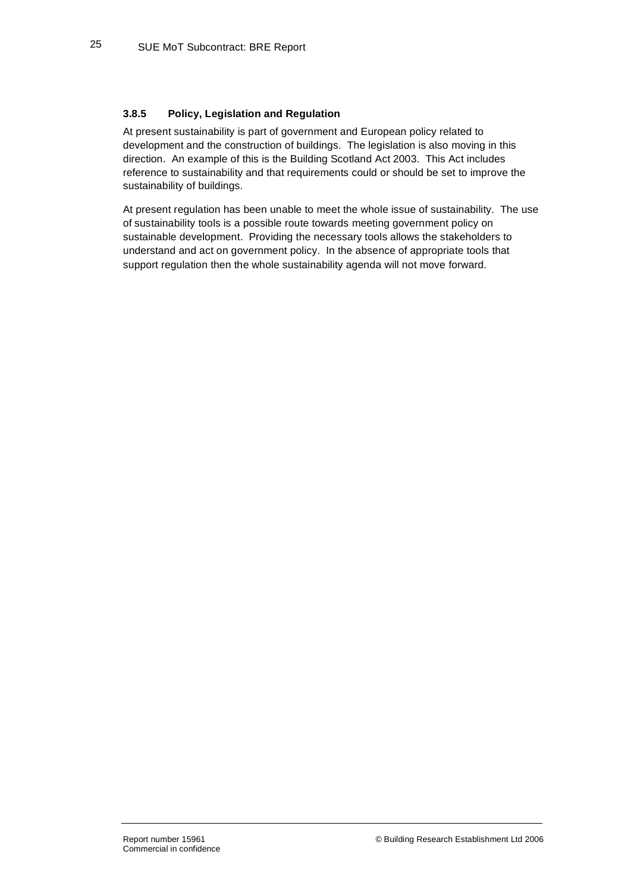#### **3.8.5 Policy, Legislation and Regulation**

At present sustainability is part of government and European policy related to development and the construction of buildings. The legislation is also moving in this direction. An example of this is the Building Scotland Act 2003. This Act includes reference to sustainability and that requirements could or should be set to improve the sustainability of buildings.

At present regulation has been unable to meet the whole issue of sustainability. The use of sustainability tools is a possible route towards meeting government policy on sustainable development. Providing the necessary tools allows the stakeholders to understand and act on government policy. In the absence of appropriate tools that support regulation then the whole sustainability agenda will not move forward.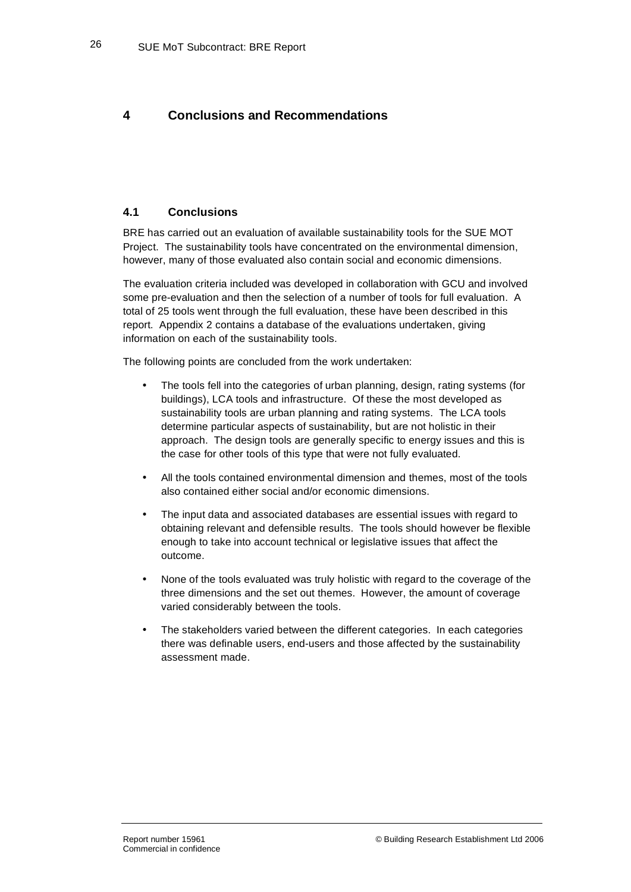## **4 Conclusions and Recommendations**

## **4.1 Conclusions**

BRE has carried out an evaluation of available sustainability tools for the SUE MOT Project. The sustainability tools have concentrated on the environmental dimension, however, many of those evaluated also contain social and economic dimensions.

The evaluation criteria included was developed in collaboration with GCU and involved some pre-evaluation and then the selection of a number of tools for full evaluation. A total of 25 tools went through the full evaluation, these have been described in this report. Appendix 2 contains a database of the evaluations undertaken, giving information on each of the sustainability tools.

The following points are concluded from the work undertaken:

- The tools fell into the categories of urban planning, design, rating systems (for buildings), LCA tools and infrastructure. Of these the most developed as sustainability tools are urban planning and rating systems. The LCA tools determine particular aspects of sustainability, but are not holistic in their approach. The design tools are generally specific to energy issues and this is the case for other tools of this type that were not fully evaluated.
- All the tools contained environmental dimension and themes, most of the tools also contained either social and/or economic dimensions.
- The input data and associated databases are essential issues with regard to obtaining relevant and defensible results. The tools should however be flexible enough to take into account technical or legislative issues that affect the outcome.
- None of the tools evaluated was truly holistic with regard to the coverage of the three dimensions and the set out themes. However, the amount of coverage varied considerably between the tools.
- The stakeholders varied between the different categories. In each categories there was definable users, end-users and those affected by the sustainability assessment made.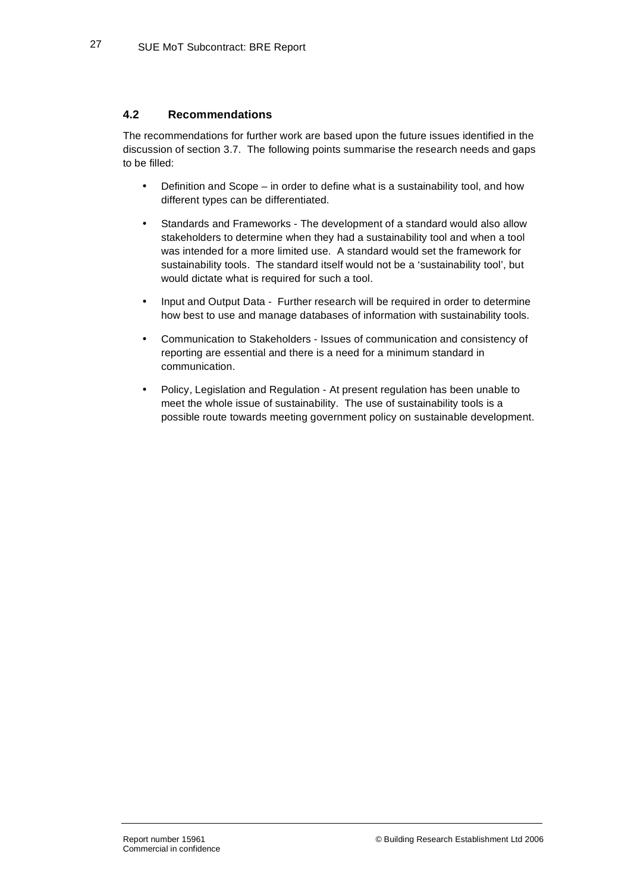## **4.2 Recommendations**

The recommendations for further work are based upon the future issues identified in the discussion of section 3.7. The following points summarise the research needs and gaps to be filled:

- Definition and Scope in order to define what is a sustainability tool, and how different types can be differentiated.
- Standards and Frameworks The development of a standard would also allow stakeholders to determine when they had a sustainability tool and when a tool was intended for a more limited use. A standard would set the framework for sustainability tools. The standard itself would not be a 'sustainability tool', but would dictate what is required for such a tool.
- Input and Output Data Further research will be required in order to determine how best to use and manage databases of information with sustainability tools.
- Communication to Stakeholders Issues of communication and consistency of reporting are essential and there is a need for a minimum standard in communication.
- Policy, Legislation and Regulation At present regulation has been unable to meet the whole issue of sustainability. The use of sustainability tools is a possible route towards meeting government policy on sustainable development.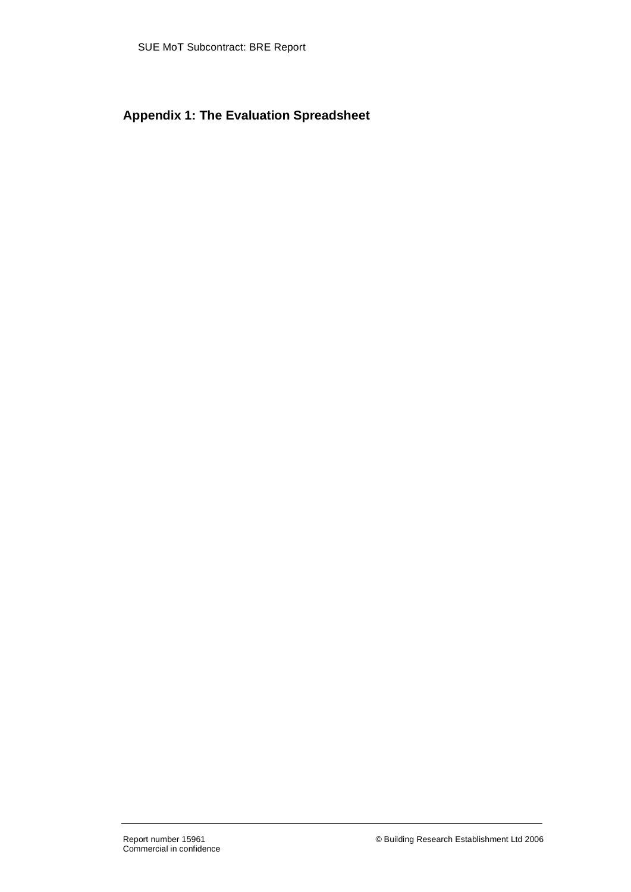## **Appendix 1: The Evaluation Spreadsheet**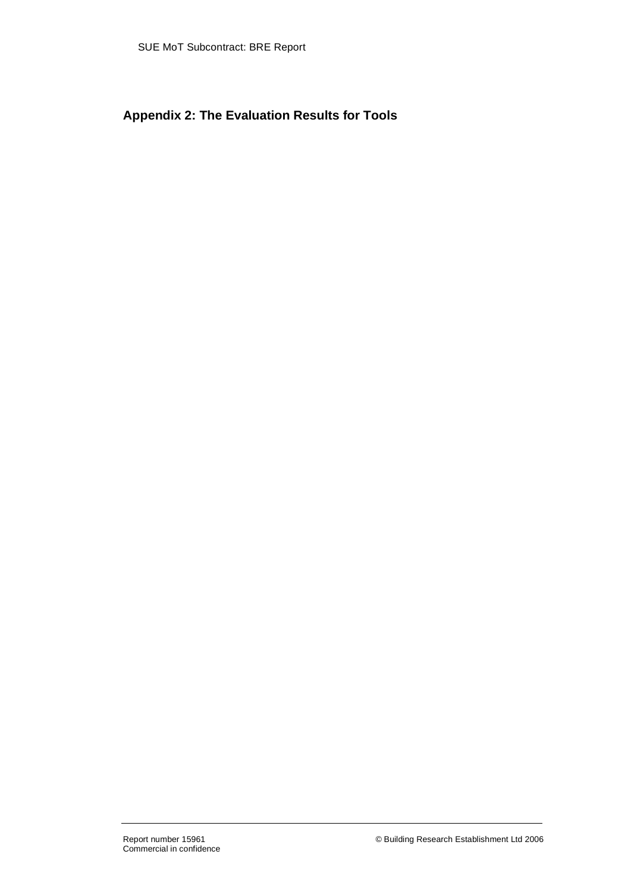## **Appendix 2: The Evaluation Results for Tools**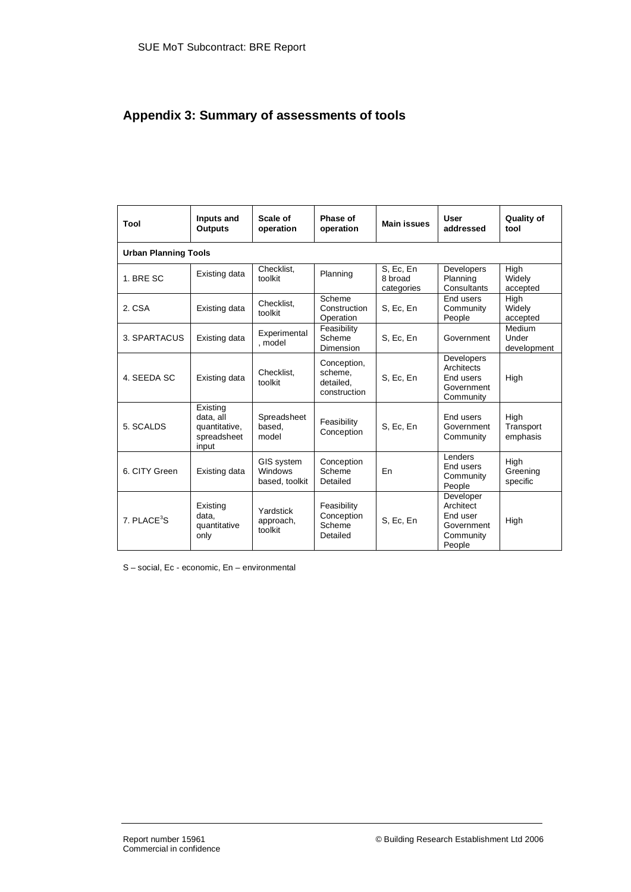## **Appendix 3: Summary of assessments of tools**

|                             | Inputs and                                                     | Scale of                                | Phase of                                            |                                    | <b>User</b>                                                             | Quality of                     |
|-----------------------------|----------------------------------------------------------------|-----------------------------------------|-----------------------------------------------------|------------------------------------|-------------------------------------------------------------------------|--------------------------------|
| Tool                        | <b>Outputs</b>                                                 | operation                               | operation                                           | <b>Main issues</b>                 | addressed                                                               | tool                           |
| <b>Urban Planning Tools</b> |                                                                |                                         |                                                     |                                    |                                                                         |                                |
| 1. BRE SC                   | Existing data                                                  | Checklist.<br>toolkit                   | Planning                                            | S. Ec. En<br>8 broad<br>categories | Developers<br>Planning<br>Consultants                                   | High<br>Widely<br>accepted     |
| 2. CSA                      | Existing data                                                  | Checklist.<br>toolkit                   | Scheme<br>Construction<br>Operation                 | S. Ec. En                          | End users<br>Community<br>People                                        | High<br>Widely<br>accepted     |
| 3. SPARTACUS                | Existing data                                                  | Experimental<br>, model                 | Feasibility<br>Scheme<br>Dimension                  | S. Ec. En                          | Government                                                              | Medium<br>Under<br>development |
| 4. SEEDA SC                 | Existing data                                                  | Checklist.<br>toolkit                   | Conception,<br>scheme,<br>detailed.<br>construction | S. Ec. En                          | Developers<br>Architects<br>End users<br>Government<br>Community        | High                           |
| 5. SCALDS                   | Existing<br>data, all<br>quantitative,<br>spreadsheet<br>input | Spreadsheet<br>based.<br>model          | Feasibility<br>Conception                           | S. Ec. En                          | End users<br>Government<br>Community                                    | High<br>Transport<br>emphasis  |
| 6. CITY Green               | Existing data                                                  | GIS system<br>Windows<br>based, toolkit | Conception<br>Scheme<br>Detailed                    | En                                 | Lenders<br>End users<br>Community<br>People                             | High<br>Greening<br>specific   |
| 7. PLACE <sup>3</sup> S     | Existing<br>data,<br>quantitative<br>only                      | Yardstick<br>approach,<br>toolkit       | Feasibility<br>Conception<br>Scheme<br>Detailed     | S, Ec, En                          | Developer<br>Architect<br>End user<br>Government<br>Community<br>People | High                           |

S – social, Ec - economic, En – environmental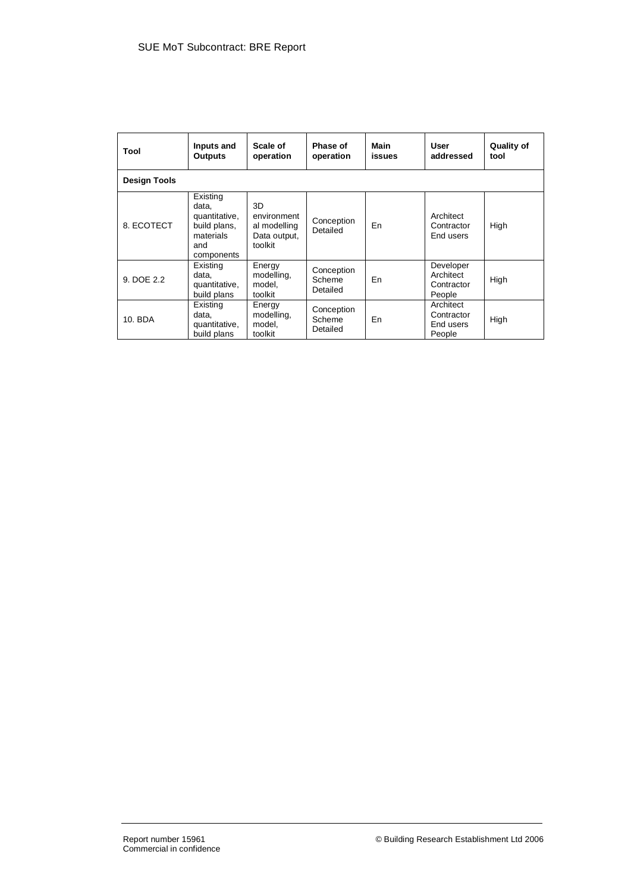| Tool                | Inputs and<br><b>Outputs</b>                                                         | Scale of<br>operation                                        | Phase of<br>operation            | Main<br><b>issues</b> | <b>User</b><br>addressed                       | <b>Quality of</b><br>tool |  |
|---------------------|--------------------------------------------------------------------------------------|--------------------------------------------------------------|----------------------------------|-----------------------|------------------------------------------------|---------------------------|--|
| <b>Design Tools</b> |                                                                                      |                                                              |                                  |                       |                                                |                           |  |
| 8. ECOTECT          | Existing<br>data.<br>quantitative,<br>build plans,<br>materials<br>and<br>components | 3D<br>environment<br>al modelling<br>Data output,<br>toolkit | Conception<br>Detailed           | En                    | Architect<br>Contractor<br>End users           | High                      |  |
| 9. DOE 2.2          | Existing<br>data,<br>quantitative,<br>build plans                                    | Energy<br>modelling,<br>model.<br>toolkit                    | Conception<br>Scheme<br>Detailed | En                    | Developer<br>Architect<br>Contractor<br>People | High                      |  |
| 10. BDA             | Existing<br>data,<br>quantitative,<br>build plans                                    | Energy<br>modelling,<br>model.<br>toolkit                    | Conception<br>Scheme<br>Detailed | En                    | Architect<br>Contractor<br>End users<br>People | High                      |  |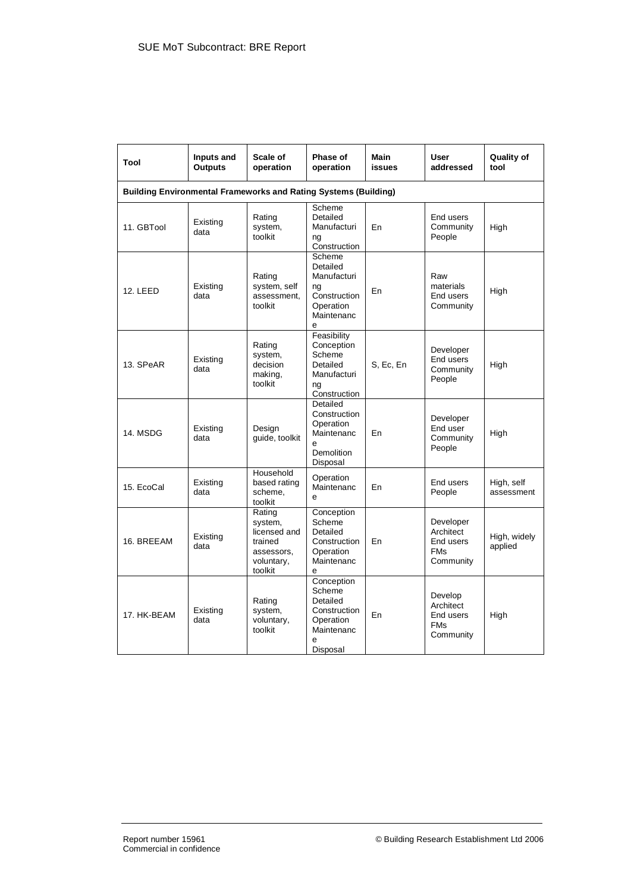| Tool            | Inputs and<br><b>Outputs</b>                                           | Scale of<br>operation                                                               | Phase of<br>operation                                                                        | <b>Main</b><br><b>issues</b> | <b>User</b><br>addressed                                       | <b>Quality of</b><br>tool |  |  |
|-----------------|------------------------------------------------------------------------|-------------------------------------------------------------------------------------|----------------------------------------------------------------------------------------------|------------------------------|----------------------------------------------------------------|---------------------------|--|--|
|                 | <b>Building Environmental Frameworks and Rating Systems (Building)</b> |                                                                                     |                                                                                              |                              |                                                                |                           |  |  |
| 11. GBTool      | Existing<br>data                                                       | Rating<br>system,<br>toolkit                                                        | Scheme<br>Detailed<br>Manufacturi<br>ng<br>Construction                                      | En                           | End users<br>Community<br>People                               | High                      |  |  |
| <b>12. LEED</b> | Existing<br>data                                                       | Rating<br>system, self<br>assessment,<br>toolkit                                    | Scheme<br>Detailed<br>Manufacturi<br>ng<br>Construction<br>Operation<br>Maintenanc<br>e      | En                           | Raw<br>materials<br>End users<br>Community                     | High                      |  |  |
| 13. SPeAR       | Existing<br>data                                                       | Rating<br>system,<br>decision<br>making,<br>toolkit                                 | Feasibility<br>Conception<br>Scheme<br>Detailed<br>Manufacturi<br>ng<br>Construction         | S, Ec, En                    | Developer<br>End users<br>Community<br>People                  | High                      |  |  |
| 14. MSDG        | Existing<br>data                                                       | Design<br>guide, toolkit                                                            | Detailed<br>Construction<br>Operation<br>Maintenanc<br>e<br><b>Demolition</b><br>Disposal    | En                           | Developer<br>End user<br>Community<br>People                   | High                      |  |  |
| 15. EcoCal      | Existing<br>data                                                       | Household<br>based rating<br>scheme,<br>toolkit                                     | Operation<br>Maintenanc<br>e                                                                 | En                           | End users<br>People                                            | High, self<br>assessment  |  |  |
| 16. BREEAM      | Existing<br>data                                                       | Rating<br>system,<br>licensed and<br>trained<br>assessors,<br>voluntary,<br>toolkit | Conception<br>Scheme<br>Detailed<br>Construction<br>Operation<br>Maintenanc<br>e             | En                           | Developer<br>Architect<br>End users<br><b>FMs</b><br>Community | High, widely<br>applied   |  |  |
| 17. HK-BEAM     | Existing<br>data                                                       | Rating<br>system,<br>voluntary,<br>toolkit                                          | Conception<br>Scheme<br>Detailed<br>Construction<br>Operation<br>Maintenanc<br>e<br>Disposal | En                           | Develop<br>Architect<br>End users<br><b>FMs</b><br>Community   | High                      |  |  |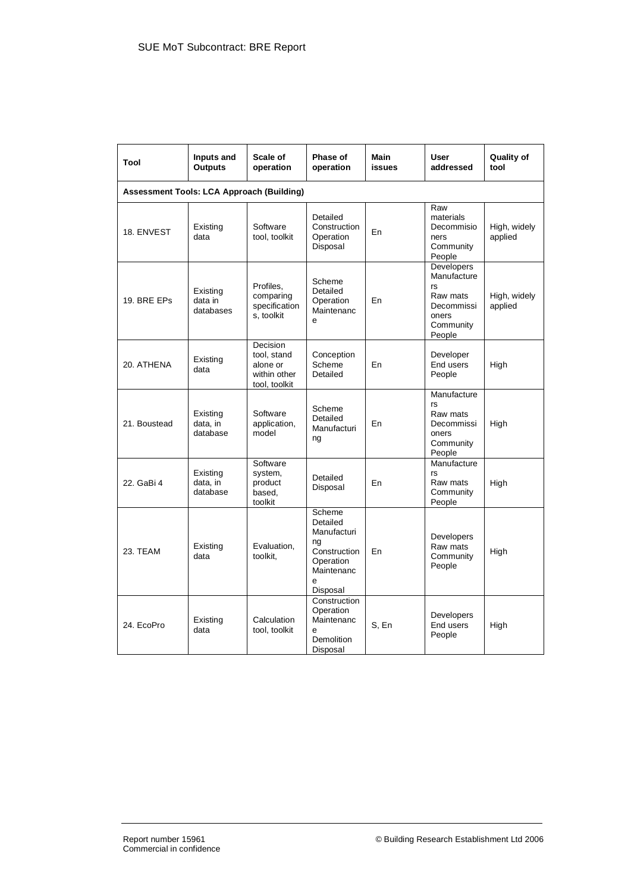| Tool                                      | Inputs and<br><b>Outputs</b>     | Scale of<br>operation                                                | Phase of<br>operation                                                                               | <b>Main</b><br><b>issues</b> | <b>User</b><br>addressed                                                                         | <b>Quality of</b><br>tool |
|-------------------------------------------|----------------------------------|----------------------------------------------------------------------|-----------------------------------------------------------------------------------------------------|------------------------------|--------------------------------------------------------------------------------------------------|---------------------------|
| Assessment Tools: LCA Approach (Building) |                                  |                                                                      |                                                                                                     |                              |                                                                                                  |                           |
| 18. ENVEST                                | Existing<br>data                 | Software<br>tool, toolkit                                            | Detailed<br>Construction<br>Operation<br>Disposal                                                   | En                           | Raw<br>materials<br>Decommisio<br>ners<br>Community<br>People                                    | High, widely<br>applied   |
| 19. BRE EPs                               | Existing<br>data in<br>databases | Profiles,<br>comparing<br>specification<br>s, toolkit                | Scheme<br>Detailed<br>Operation<br>Maintenanc<br>e                                                  | En                           | <b>Developers</b><br>Manufacture<br>rs<br>Raw mats<br>Decommissi<br>oners<br>Community<br>People | High, widely<br>applied   |
| 20. ATHENA                                | Existing<br>data                 | Decision<br>tool, stand<br>alone or<br>within other<br>tool, toolkit | Conception<br>Scheme<br>Detailed                                                                    | En                           | Developer<br>End users<br>People                                                                 | High                      |
| 21. Boustead                              | Existing<br>data, in<br>database | Software<br>application,<br>model                                    | Scheme<br>Detailed<br>Manufacturi<br>ng                                                             | En                           | Manufacture<br>rs<br>Raw mats<br>Decommissi<br>oners<br>Community<br>People                      | High                      |
| 22. GaBi 4                                | Existing<br>data, in<br>database | Software<br>system,<br>product<br>based,<br>toolkit                  | Detailed<br>Disposal                                                                                | En                           | Manufacture<br>rs<br>Raw mats<br>Community<br>People                                             | High                      |
| 23. TEAM                                  | Existing<br>data                 | Evaluation,<br>toolkit,                                              | Scheme<br>Detailed<br>Manufacturi<br>ng<br>Construction<br>Operation<br>Maintenanc<br>e<br>Disposal | En                           | Developers<br>Raw mats<br>Community<br>People                                                    | High                      |
| 24. EcoPro                                | Existing<br>data                 | Calculation<br>tool, toolkit                                         | Construction<br>Operation<br>Maintenanc<br>e<br><b>Demolition</b><br>Disposal                       | S, En                        | <b>Developers</b><br>End users<br>People                                                         | High                      |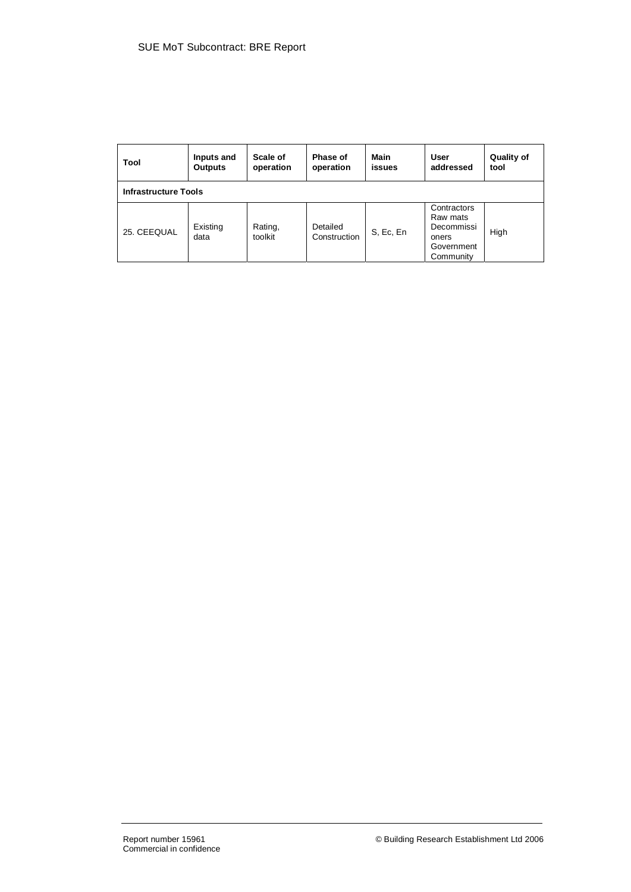| Tool                        | Inputs and<br><b>Outputs</b> | Scale of<br>operation | Phase of<br>operation    | Main<br><b>issues</b> | <b>User</b><br>addressed                                                  | Quality of<br>tool |
|-----------------------------|------------------------------|-----------------------|--------------------------|-----------------------|---------------------------------------------------------------------------|--------------------|
| <b>Infrastructure Tools</b> |                              |                       |                          |                       |                                                                           |                    |
| 25. CEEQUAL                 | Existing<br>data             | Rating,<br>toolkit    | Detailed<br>Construction | S. Ec. En             | Contractors<br>Raw mats<br>Decommissi<br>oners<br>Government<br>Community | High               |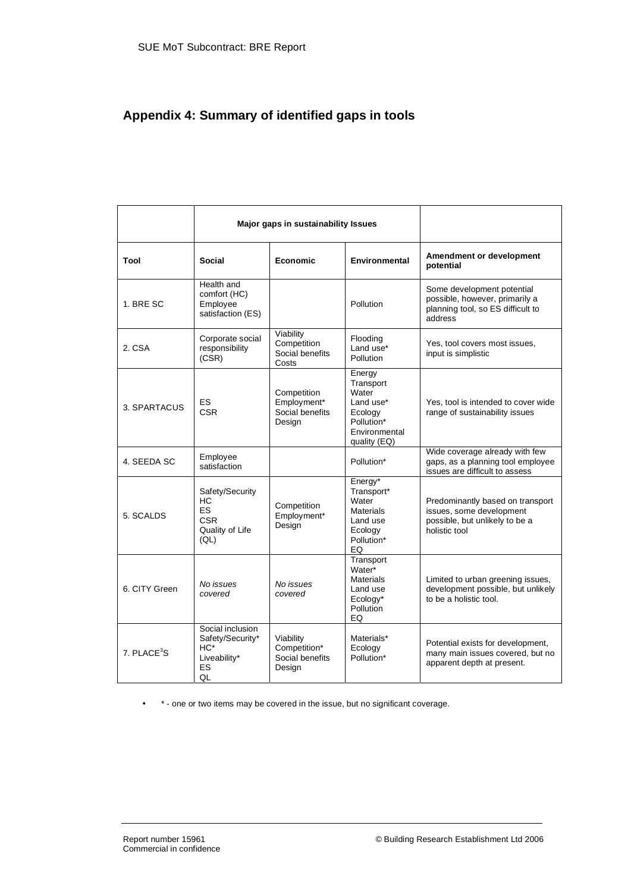## **Appendix 4: Summary of identified gaps in tools**

|                         |                                                                             | Major gaps in sustainability Issues                     |                                                                                                     |                                                                                                                 |
|-------------------------|-----------------------------------------------------------------------------|---------------------------------------------------------|-----------------------------------------------------------------------------------------------------|-----------------------------------------------------------------------------------------------------------------|
| Tool                    | Social                                                                      | Economic                                                | Environmental                                                                                       | Amendment or development<br>potential                                                                           |
| 1. BRE SC               | Health and<br>comfort (HC)<br>Employee<br>satisfaction (ES)                 |                                                         | Pollution                                                                                           | Some development potential<br>possible, however, primarily a<br>planning tool, so ES difficult to<br>address    |
| 2. CSA                  | Corporate social<br>responsibility<br>(CSR)                                 | Viability<br>Competition<br>Social benefits<br>Costs    | Flooding<br>Land use*<br>Pollution                                                                  | Yes, tool covers most issues,<br>input is simplistic                                                            |
| 3. SPARTACUS            | <b>ES</b><br><b>CSR</b>                                                     | Competition<br>Employment*<br>Social benefits<br>Design | Energy<br>Transport<br>Water<br>Land use*<br>Ecology<br>Pollution*<br>Environmental<br>quality (EQ) | Yes, tool is intended to cover wide<br>range of sustainability issues                                           |
| 4. SEEDA SC             | Employee<br>satisfaction                                                    |                                                         | Pollution*                                                                                          | Wide coverage already with few<br>gaps, as a planning tool employee<br>issues are difficult to assess           |
| 5. SCALDS               | Safety/Security<br>HC<br><b>ES</b><br><b>CSR</b><br>Quality of Life<br>(QL) | Competition<br>Employment*<br>Design                    | Energy*<br>Transport*<br>Water<br><b>Materials</b><br>Land use<br>Ecology<br>Pollution*<br>EQ       | Predominantly based on transport<br>issues, some development<br>possible, but unlikely to be a<br>holistic tool |
| 6. CITY Green           | No issues<br>covered                                                        | No issues<br>covered                                    | Transport<br>Water*<br><b>Materials</b><br>Land use<br>Ecology*<br>Pollution<br>EQ                  | Limited to urban greening issues,<br>development possible, but unlikely<br>to be a holistic tool.               |
| 7. PLACE <sup>3</sup> S | Social inclusion<br>Safety/Security*<br>HC*<br>Liveability*<br>ES<br>QL     | Viability<br>Competition*<br>Social benefits<br>Design  | Materials*<br>Ecology<br>Pollution*                                                                 | Potential exists for development,<br>many main issues covered, but no<br>apparent depth at present.             |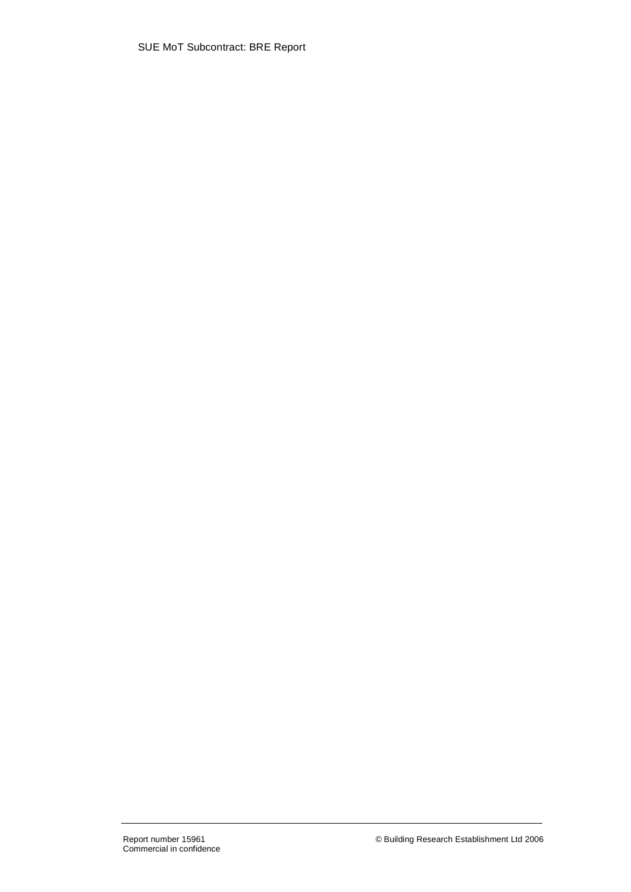SUE MoT Subcontract: BRE Report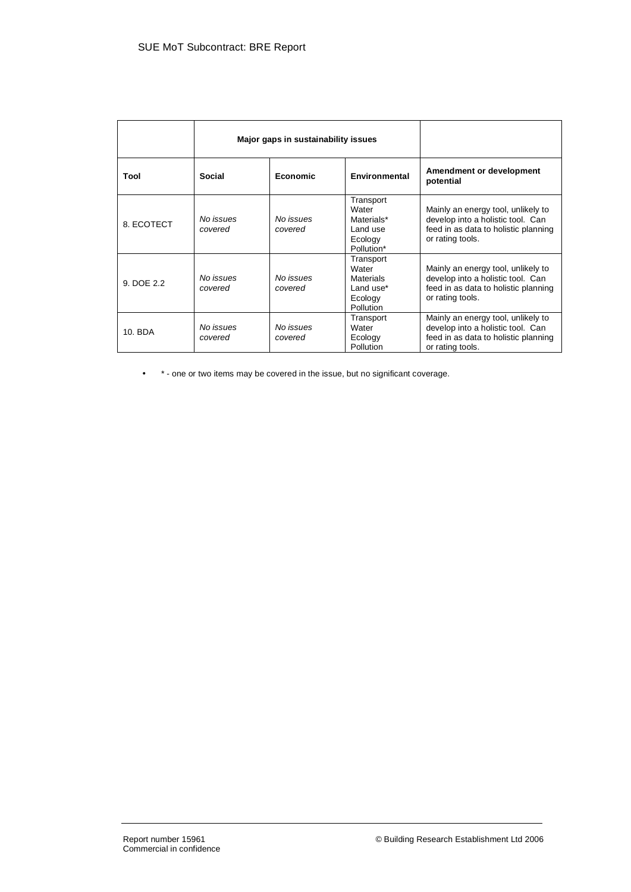|            | Major gaps in sustainability issues |                      |                                                                                    |                                                                                                                                     |
|------------|-------------------------------------|----------------------|------------------------------------------------------------------------------------|-------------------------------------------------------------------------------------------------------------------------------------|
| Tool       | <b>Social</b>                       | Economic             | Environmental                                                                      | Amendment or development<br>potential                                                                                               |
| 8. ECOTECT | No issues<br>covered                | No issues<br>covered | Transport<br>Water<br>Materials*<br>Land use<br>Ecology<br>Pollution*              | Mainly an energy tool, unlikely to<br>develop into a holistic tool. Can<br>feed in as data to holistic planning<br>or rating tools. |
| 9. DOE 2.2 | No issues<br>covered                | No issues<br>covered | Transport<br>Water<br><b>Materials</b><br>Land use*<br>Ecology<br><b>Pollution</b> | Mainly an energy tool, unlikely to<br>develop into a holistic tool. Can<br>feed in as data to holistic planning<br>or rating tools. |
| 10. BDA    | No issues<br>covered                | No issues<br>covered | Transport<br>Water<br>Ecology<br>Pollution                                         | Mainly an energy tool, unlikely to<br>develop into a holistic tool. Can<br>feed in as data to holistic planning<br>or rating tools. |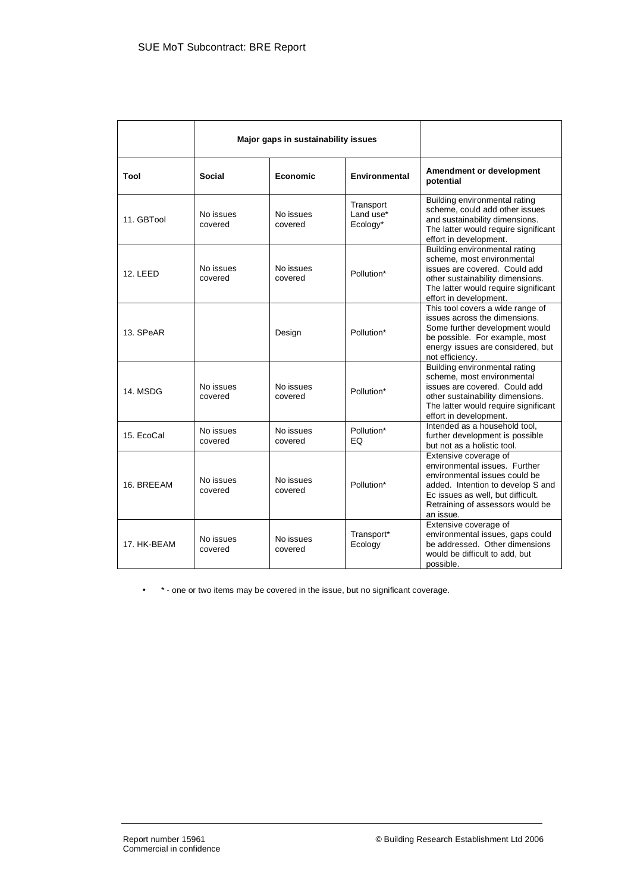|                 | Major gaps in sustainability issues |                      |                                    |                                                                                                                                                                                                                    |
|-----------------|-------------------------------------|----------------------|------------------------------------|--------------------------------------------------------------------------------------------------------------------------------------------------------------------------------------------------------------------|
| Tool            | Social                              | Economic             | <b>Environmental</b>               | Amendment or development<br>potential                                                                                                                                                                              |
| 11. GBTool      | No issues<br>covered                | No issues<br>covered | Transport<br>Land use*<br>Ecology* | Building environmental rating<br>scheme, could add other issues<br>and sustainability dimensions.<br>The latter would require significant<br>effort in development.                                                |
| <b>12. LEED</b> | No issues<br>covered                | No issues<br>covered | Pollution*                         | Building environmental rating<br>scheme, most environmental<br>issues are covered. Could add<br>other sustainability dimensions.<br>The latter would require significant<br>effort in development.                 |
| 13. SPeAR       |                                     | Design               | Pollution*                         | This tool covers a wide range of<br>issues across the dimensions.<br>Some further development would<br>be possible. For example, most<br>energy issues are considered, but<br>not efficiency.                      |
| 14. MSDG        | No issues<br>covered                | No issues<br>covered | Pollution*                         | Building environmental rating<br>scheme, most environmental<br>issues are covered. Could add<br>other sustainability dimensions.<br>The latter would require significant<br>effort in development.                 |
| 15. EcoCal      | No issues<br>covered                | No issues<br>covered | Pollution*<br>EQ                   | Intended as a household tool,<br>further development is possible<br>but not as a holistic tool.                                                                                                                    |
| 16. BREEAM      | No issues<br>covered                | No issues<br>covered | Pollution*                         | Extensive coverage of<br>environmental issues. Further<br>environmental issues could be<br>added. Intention to develop S and<br>Ec issues as well, but difficult.<br>Retraining of assessors would be<br>an issue. |
| 17. HK-BEAM     | No issues<br>covered                | No issues<br>covered | Transport*<br>Ecology              | Extensive coverage of<br>environmental issues, gaps could<br>be addressed. Other dimensions<br>would be difficult to add, but<br>possible.                                                                         |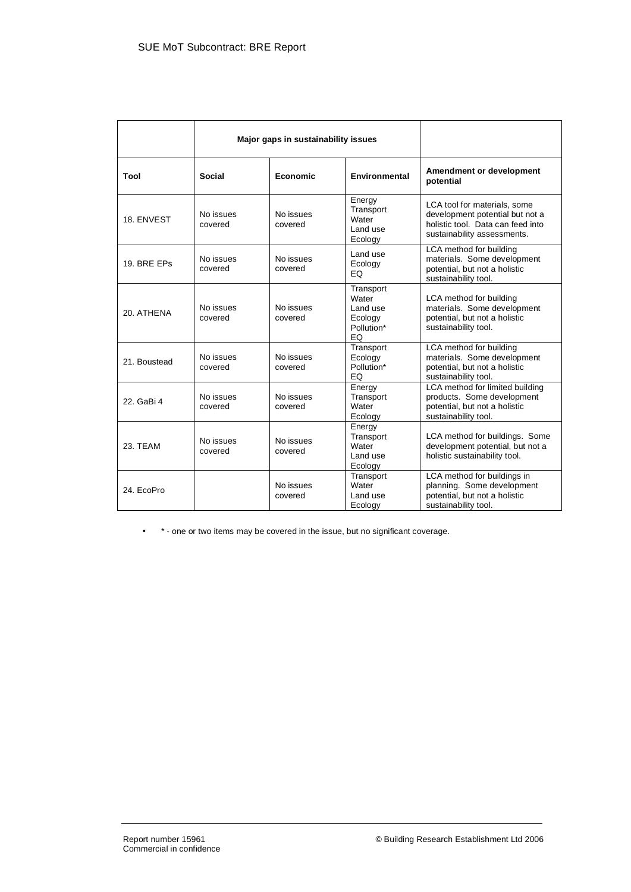|                 |                      | Major gaps in sustainability issues |                                                               |                                                                                                                                     |
|-----------------|----------------------|-------------------------------------|---------------------------------------------------------------|-------------------------------------------------------------------------------------------------------------------------------------|
| Tool            | <b>Social</b>        | Economic                            | <b>Environmental</b>                                          | Amendment or development<br>potential                                                                                               |
| 18. ENVEST      | No issues<br>covered | No issues<br>covered                | Energy<br>Transport<br>Water<br>Land use<br>Ecology           | LCA tool for materials, some<br>development potential but not a<br>holistic tool. Data can feed into<br>sustainability assessments. |
| 19. BRE EPs     | No issues<br>covered | No issues<br>covered                | Land use<br>Ecology<br>EQ                                     | LCA method for building<br>materials. Some development<br>potential, but not a holistic<br>sustainability tool.                     |
| 20. ATHENA      | No issues<br>covered | No issues<br>covered                | Transport<br>Water<br>Land use<br>Ecology<br>Pollution*<br>EQ | LCA method for building<br>materials. Some development<br>potential, but not a holistic<br>sustainability tool.                     |
| 21. Boustead    | No issues<br>covered | No issues<br>covered                | Transport<br>Ecology<br>Pollution*<br>EQ.                     | LCA method for building<br>materials. Some development<br>potential, but not a holistic<br>sustainability tool.                     |
| 22. GaBi 4      | No issues<br>covered | No issues<br>covered                | Energy<br>Transport<br>Water<br>Ecology                       | LCA method for limited building<br>products. Some development<br>potential, but not a holistic<br>sustainability tool.              |
| <b>23. TEAM</b> | No issues<br>covered | No issues<br>covered                | Energy<br>Transport<br>Water<br>Land use<br>Ecology           | LCA method for buildings. Some<br>development potential, but not a<br>holistic sustainability tool.                                 |
| 24. EcoPro      |                      | No issues<br>covered                | Transport<br>Water<br>Land use<br>Ecology                     | LCA method for buildings in<br>planning. Some development<br>potential, but not a holistic<br>sustainability tool.                  |